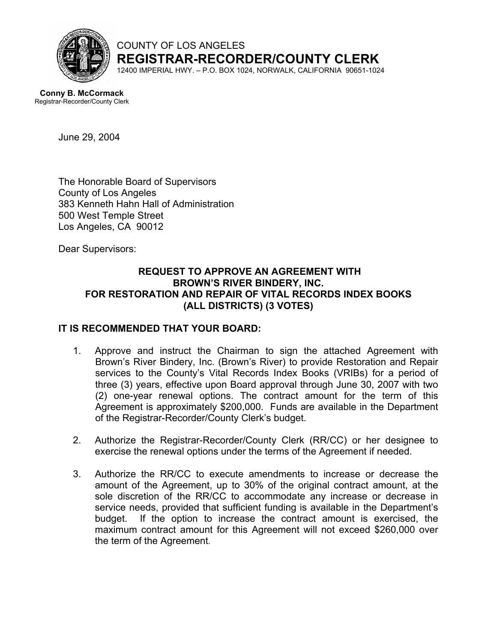

COUNTY OF LOS ANGELES **REGISTRAR-RECORDER/COUNTY CLERK**

12400 IMPERIAL HWY. – P.O. BOX 1024, NORWALK, CALIFORNIA 90651-1024

 **Conny B. McCormack** Registrar-Recorder/County Clerk

June 29, 2004

The Honorable Board of Supervisors County of Los Angeles 383 Kenneth Hahn Hall of Administration 500 West Temple Street Los Angeles, CA 90012

Dear Supervisors:

#### **REQUEST TO APPROVE AN AGREEMENT WITH BROWN'S RIVER BINDERY, INC. FOR RESTORATION AND REPAIR OF VITAL RECORDS INDEX BOOKS (ALL DISTRICTS) (3 VOTES)**

#### **IT IS RECOMMENDED THAT YOUR BOARD:**

- 1. Approve and instruct the Chairman to sign the attached Agreement with Brown's River Bindery, Inc. (Brown's River) to provide Restoration and Repair services to the County's Vital Records Index Books (VRIBs) for a period of three (3) years, effective upon Board approval through June 30, 2007 with two (2) one-year renewal options. The contract amount for the term of this Agreement is approximately \$200,000. Funds are available in the Department of the Registrar-Recorder/County Clerk's budget.
- 2. Authorize the Registrar-Recorder/County Clerk (RR/CC) or her designee to exercise the renewal options under the terms of the Agreement if needed.
- 3. Authorize the RR/CC to execute amendments to increase or decrease the amount of the Agreement, up to 30% of the original contract amount, at the sole discretion of the RR/CC to accommodate any increase or decrease in service needs, provided that sufficient funding is available in the Department's budget. If the option to increase the contract amount is exercised, the maximum contract amount for this Agreement will not exceed \$260,000 over the term of the Agreement.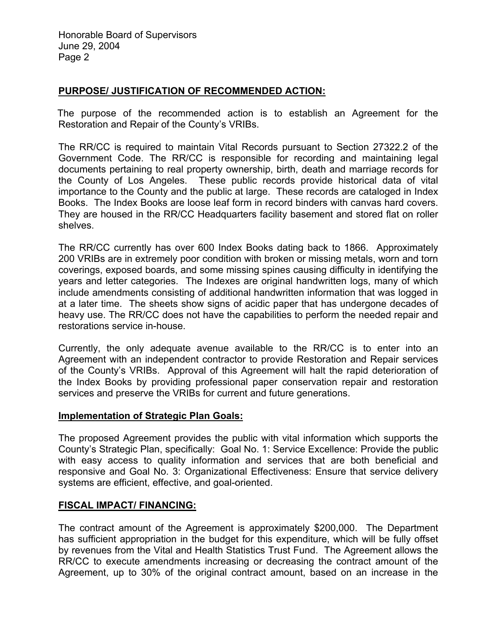Honorable Board of Supervisors June 29, 2004 Page 2

#### **PURPOSE/ JUSTIFICATION OF RECOMMENDED ACTION:**

 The purpose of the recommended action is to establish an Agreement for the Restoration and Repair of the County's VRIBs.

The RR/CC is required to maintain Vital Records pursuant to Section 27322.2 of the Government Code. The RR/CC is responsible for recording and maintaining legal documents pertaining to real property ownership, birth, death and marriage records for the County of Los Angeles. These public records provide historical data of vital importance to the County and the public at large. These records are cataloged in Index Books. The Index Books are loose leaf form in record binders with canvas hard covers. They are housed in the RR/CC Headquarters facility basement and stored flat on roller shelves.

The RR/CC currently has over 600 Index Books dating back to 1866. Approximately 200 VRIBs are in extremely poor condition with broken or missing metals, worn and torn coverings, exposed boards, and some missing spines causing difficulty in identifying the years and letter categories. The Indexes are original handwritten logs, many of which include amendments consisting of additional handwritten information that was logged in at a later time. The sheets show signs of acidic paper that has undergone decades of heavy use. The RR/CC does not have the capabilities to perform the needed repair and restorations service in-house.

Currently, the only adequate avenue available to the RR/CC is to enter into an Agreement with an independent contractor to provide Restoration and Repair services of the County's VRIBs. Approval of this Agreement will halt the rapid deterioration of the Index Books by providing professional paper conservation repair and restoration services and preserve the VRIBs for current and future generations.

#### **Implementation of Strategic Plan Goals:**

The proposed Agreement provides the public with vital information which supports the County's Strategic Plan, specifically: Goal No. 1: Service Excellence: Provide the public with easy access to quality information and services that are both beneficial and responsive and Goal No. 3: Organizational Effectiveness: Ensure that service delivery systems are efficient, effective, and goal-oriented.

#### **FISCAL IMPACT/ FINANCING:**

The contract amount of the Agreement is approximately \$200,000. The Department has sufficient appropriation in the budget for this expenditure, which will be fully offset by revenues from the Vital and Health Statistics Trust Fund. The Agreement allows the RR/CC to execute amendments increasing or decreasing the contract amount of the Agreement, up to 30% of the original contract amount, based on an increase in the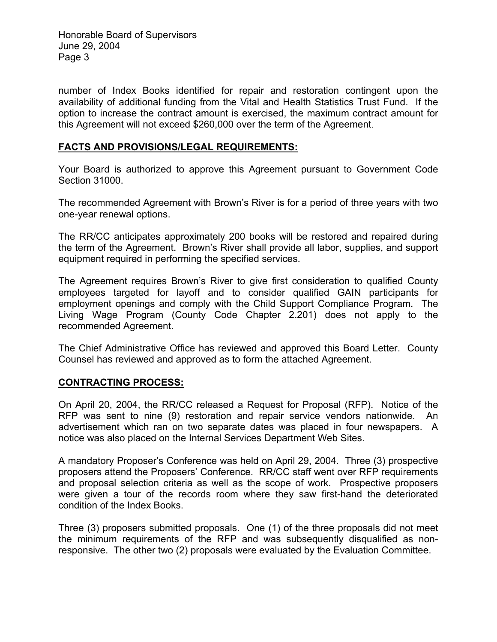Honorable Board of Supervisors June 29, 2004 Page 3

number of Index Books identified for repair and restoration contingent upon the availability of additional funding from the Vital and Health Statistics Trust Fund. If the option to increase the contract amount is exercised, the maximum contract amount for this Agreement will not exceed \$260,000 over the term of the Agreement.

#### **FACTS AND PROVISIONS/LEGAL REQUIREMENTS:**

Your Board is authorized to approve this Agreement pursuant to Government Code Section 31000.

The recommended Agreement with Brown's River is for a period of three years with two one-year renewal options.

The RR/CC anticipates approximately 200 books will be restored and repaired during the term of the Agreement. Brown's River shall provide all labor, supplies, and support equipment required in performing the specified services.

The Agreement requires Brown's River to give first consideration to qualified County employees targeted for layoff and to consider qualified GAIN participants for employment openings and comply with the Child Support Compliance Program. The Living Wage Program (County Code Chapter 2.201) does not apply to the recommended Agreement.

The Chief Administrative Office has reviewed and approved this Board Letter. County Counsel has reviewed and approved as to form the attached Agreement.

#### **CONTRACTING PROCESS:**

On April 20, 2004, the RR/CC released a Request for Proposal (RFP). Notice of the RFP was sent to nine (9) restoration and repair service vendors nationwide. An advertisement which ran on two separate dates was placed in four newspapers. A notice was also placed on the Internal Services Department Web Sites.

A mandatory Proposer's Conference was held on April 29, 2004. Three (3) prospective proposers attend the Proposers' Conference. RR/CC staff went over RFP requirements and proposal selection criteria as well as the scope of work. Prospective proposers were given a tour of the records room where they saw first-hand the deteriorated condition of the Index Books.

Three (3) proposers submitted proposals. One (1) of the three proposals did not meet the minimum requirements of the RFP and was subsequently disqualified as nonresponsive. The other two (2) proposals were evaluated by the Evaluation Committee.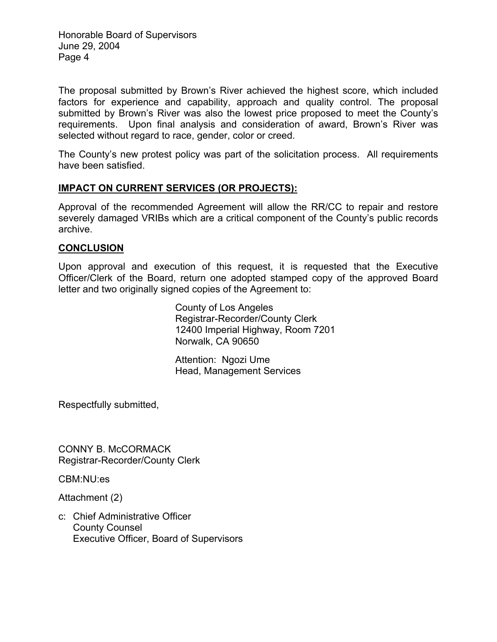Honorable Board of Supervisors June 29, 2004 Page 4

The proposal submitted by Brown's River achieved the highest score, which included factors for experience and capability, approach and quality control. The proposal submitted by Brown's River was also the lowest price proposed to meet the County's requirements. Upon final analysis and consideration of award, Brown's River was selected without regard to race, gender, color or creed.

The County's new protest policy was part of the solicitation process. All requirements have been satisfied.

#### **IMPACT ON CURRENT SERVICES (OR PROJECTS):**

Approval of the recommended Agreement will allow the RR/CC to repair and restore severely damaged VRIBs which are a critical component of the County's public records archive.

#### **CONCLUSION**

Upon approval and execution of this request, it is requested that the Executive Officer/Clerk of the Board, return one adopted stamped copy of the approved Board letter and two originally signed copies of the Agreement to:

> County of Los Angeles Registrar-Recorder/County Clerk 12400 Imperial Highway, Room 7201 Norwalk, CA 90650

Attention: Ngozi Ume Head, Management Services

Respectfully submitted,

CONNY B. McCORMACK Registrar-Recorder/County Clerk

CBM:NU:es

Attachment (2)

c: Chief Administrative Officer County Counsel Executive Officer, Board of Supervisors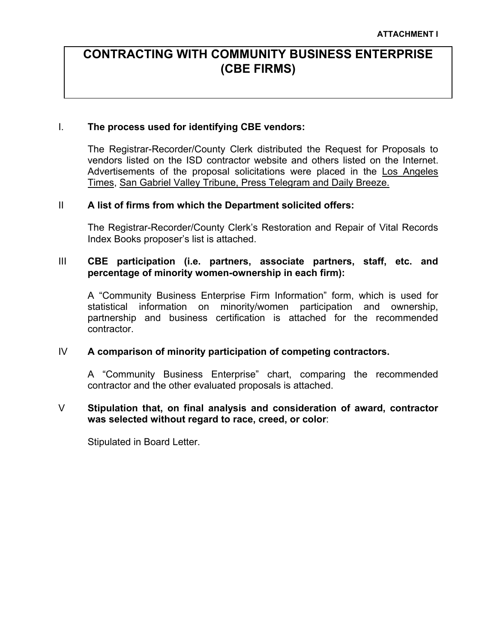# **CONTRACTING WITH COMMUNITY BUSINESS ENTERPRISE (CBE FIRMS)**

#### I. **The process used for identifying CBE vendors:**

The Registrar-Recorder/County Clerk distributed the Request for Proposals to vendors listed on the ISD contractor website and others listed on the Internet. Advertisements of the proposal solicitations were placed in the Los Angeles Times, San Gabriel Valley Tribune, Press Telegram and Daily Breeze.

#### II **A list of firms from which the Department solicited offers:**

The Registrar-Recorder/County Clerk's Restoration and Repair of Vital Records Index Books proposer's list is attached.

#### III **CBE participation (i.e. partners, associate partners, staff, etc. and percentage of minority women-ownership in each firm):**

A "Community Business Enterprise Firm Information" form, which is used for statistical information on minority/women participation and ownership, partnership and business certification is attached for the recommended contractor.

#### IV **A comparison of minority participation of competing contractors.**

A "Community Business Enterprise" chart, comparing the recommended contractor and the other evaluated proposals is attached.

#### V **Stipulation that, on final analysis and consideration of award, contractor was selected without regard to race, creed, or color**:

Stipulated in Board Letter.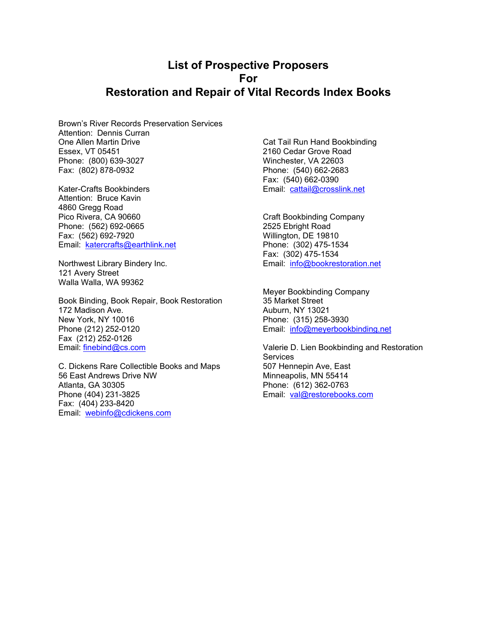### **List of Prospective Proposers For Restoration and Repair of Vital Records Index Books**

Brown's River Records Preservation Services Attention: Dennis Curran One Allen Martin Drive Essex, VT 05451 Phone: (800) 639-3027 Fax: (802) 878-0932

Kater-Crafts Bookbinders Attention: Bruce Kavin 4860 Gregg Road Pico Rivera, CA 90660 Phone: (562) 692-0665 Fax: (562) 692-7920 Email: [katercrafts@earthlink.net](mailto:katercrafts@earthlink.net)

Northwest Library Bindery Inc. 121 Avery Street Walla Walla, WA 99362

Book Binding, Book Repair, Book Restoration 172 Madison Ave. New York, NY 10016 Phone (212) 252-0120 Fax (212) 252-0126 Email: [finebind@cs.com](mailto:finebind@cs.com)

C. Dickens Rare Collectible Books and Maps 56 East Andrews Drive NW Atlanta, GA 30305 Phone (404) 231-3825 Fax: (404) 233-8420 Email: [webinfo@cdickens.com](mailto:webinfo@cdickens.com)

Cat Tail Run Hand Bookbinding 2160 Cedar Grove Road Winchester, VA 22603 Phone: (540) 662-2683 Fax: (540) 662-0390 Email: [cattail@crosslink.net](mailto:cattail@crosslink.net)

Craft Bookbinding Company 2525 Ebright Road Willington, DE 19810 Phone: (302) 475-1534 Fax: (302) 475-1534 Email: [info@bookrestoration.net](mailto:info@bookrestoration.net)

Meyer Bookbinding Company 35 Market Street Auburn, NY 13021 Phone: (315) 258-3930 Email: [info@meyerbookbinding.net](mailto:info@meyerbookbinding.net)

Valerie D. Lien Bookbinding and Restoration **Services** 507 Hennepin Ave, East Minneapolis, MN 55414 Phone: (612) 362-0763 Email: [val@restorebooks.com](mailto:val@restorebooks.com)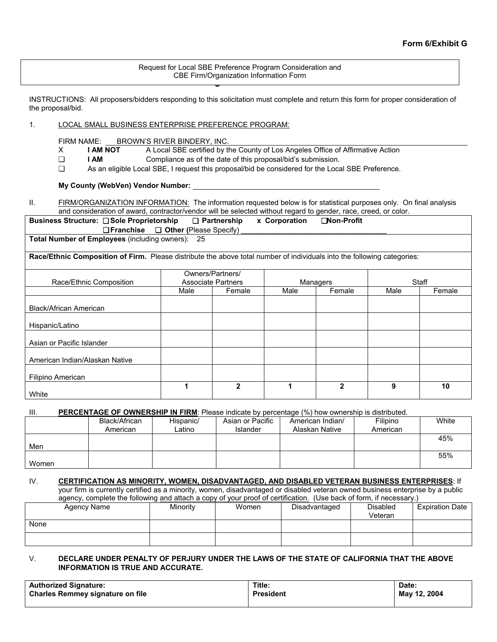Request for Local SBE Preference Program Consideration and<br>CBE Firm/Organization Information Form **CBE Firm/Organization Information Form**  CBE Firm/Organization Information Form

INSTRUCTIONS: All proposers/bidders responding to this solicitation must complete and return this form for proper consideration of the proposal/bid.

#### 1. LOCAL SMALL BUSINESS ENTERPRISE PREFERENCE PROGRAM:

FIRM NAME: BROWN'S RIVER BINDERY, INC.<br>X **I AM NOT** A Local SBE certified by t

- X **I AM NOT** A Local SBE certified by the County of Los Angeles Office of Affirmative Action
- ❏ **I AM** Compliance as of the date of this proposal/bid's submission.
- ❏ As an eligible Local SBE, I request this proposal/bid be considered for the Local SBE Preference.

**My County (WebVen) Vendor Number:**

II. FIRM/ORGANIZATION INFORMATION: The information requested below is for statistical purposes only. On final analysis and consideration of award, contractor/vendor will be selected without regard to gender, race, creed, or color.

| Business Structure: □ Sole Proprietorship               | □ Partnership | x Corporation | □Non-Profit |
|---------------------------------------------------------|---------------|---------------|-------------|
| $\Box$ Franchise $\Box$ Other (Please Specify)          |               |               |             |
| <b>Total Number of Employees (including owners): 25</b> |               |               |             |

**Race/Ethnic Composition of Firm.** Please distribute the above total number of individuals into the following categories:

|                                |                           | Owners/Partners/ |      |              |      |        |  |
|--------------------------------|---------------------------|------------------|------|--------------|------|--------|--|
| Race/Ethnic Composition        | <b>Associate Partners</b> |                  |      | Managers     |      | Staff  |  |
|                                |                           |                  |      |              |      |        |  |
|                                | Male                      | Female           | Male | Female       | Male | Female |  |
|                                |                           |                  |      |              |      |        |  |
| Black/African American         |                           |                  |      |              |      |        |  |
|                                |                           |                  |      |              |      |        |  |
| Hispanic/Latino                |                           |                  |      |              |      |        |  |
|                                |                           |                  |      |              |      |        |  |
| Asian or Pacific Islander      |                           |                  |      |              |      |        |  |
|                                |                           |                  |      |              |      |        |  |
| American Indian/Alaskan Native |                           |                  |      |              |      |        |  |
|                                |                           |                  |      |              |      |        |  |
| Filipino American              |                           |                  |      |              |      |        |  |
|                                |                           | 2                |      | $\mathbf{2}$ | 9    | 10     |  |
| White                          |                           |                  |      |              |      |        |  |

III. **PERCENTAGE OF OWNERSHIP IN FIRM**: Please indicate by percentage (%) how ownership is distributed.

|       | Black/African | Hispanic/ | Asian or Pacific | American Indian/ | Filipino | White |
|-------|---------------|-----------|------------------|------------------|----------|-------|
|       | American      | ∟atino    | Islander         | Alaskan Native   | American |       |
|       |               |           |                  |                  |          | 45%   |
| Men   |               |           |                  |                  |          |       |
|       |               |           |                  |                  |          | 55%   |
| Women |               |           |                  |                  |          |       |

IV. **CERTIFICATION AS MINORITY, WOMEN, DISADVANTAGED, AND DISABLED VETERAN BUSINESS ENTERPRISES**: If your firm is currently certified as a minority, women, disadvantaged or disabled veteran owned business enterprise by a public agency, complete the following and attach a copy of your proof of certification. (Use back of form, if necessary.)

| Agency Name | Minority | Women | Disadvantaged | <b>Disabled</b><br>Veteran | <b>Expiration Date</b> |
|-------------|----------|-------|---------------|----------------------------|------------------------|
| None        |          |       |               |                            |                        |
|             |          |       |               |                            |                        |

#### V. **DECLARE UNDER PENALTY OF PERJURY UNDER THE LAWS OF THE STATE OF CALIFORNIA THAT THE ABOVE INFORMATION IS TRUE AND ACCURATE.**

| <b>Authorized Signature:</b>            | Title:           | Date:        |
|-----------------------------------------|------------------|--------------|
| <b>Charles Remmey signature on file</b> | <b>President</b> | May 12, 2004 |
|                                         |                  |              |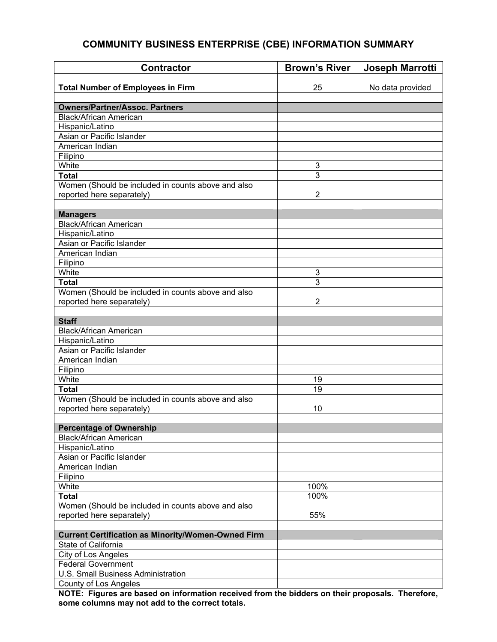### **COMMUNITY BUSINESS ENTERPRISE (CBE) INFORMATION SUMMARY**

| <b>Contractor</b>                                         | <b>Brown's River</b> | Joseph Marrotti  |
|-----------------------------------------------------------|----------------------|------------------|
|                                                           |                      |                  |
| <b>Total Number of Employees in Firm</b>                  | 25                   | No data provided |
| <b>Owners/Partner/Assoc. Partners</b>                     |                      |                  |
| Black/African American                                    |                      |                  |
| Hispanic/Latino                                           |                      |                  |
| Asian or Pacific Islander                                 |                      |                  |
| American Indian                                           |                      |                  |
| Filipino                                                  |                      |                  |
| White                                                     |                      |                  |
| <b>Total</b>                                              | 3<br>3               |                  |
|                                                           |                      |                  |
| Women (Should be included in counts above and also        | $\overline{2}$       |                  |
| reported here separately)                                 |                      |                  |
|                                                           |                      |                  |
| <b>Managers</b>                                           |                      |                  |
| <b>Black/African American</b>                             |                      |                  |
| Hispanic/Latino                                           |                      |                  |
| Asian or Pacific Islander                                 |                      |                  |
| American Indian                                           |                      |                  |
| Filipino                                                  |                      |                  |
| White                                                     | 3                    |                  |
| <b>Total</b>                                              | 3                    |                  |
| Women (Should be included in counts above and also        |                      |                  |
| reported here separately)                                 | $\overline{2}$       |                  |
|                                                           |                      |                  |
| <b>Staff</b>                                              |                      |                  |
| <b>Black/African American</b>                             |                      |                  |
| Hispanic/Latino                                           |                      |                  |
| Asian or Pacific Islander                                 |                      |                  |
| American Indian                                           |                      |                  |
| Filipino                                                  |                      |                  |
| White                                                     | 19                   |                  |
| <b>Total</b>                                              | 19                   |                  |
| Women (Should be included in counts above and also        |                      |                  |
| reported here separately)                                 | 10                   |                  |
|                                                           |                      |                  |
| <b>Percentage of Ownership</b>                            |                      |                  |
| <b>Black/African American</b>                             |                      |                  |
| Hispanic/Latino                                           |                      |                  |
| Asian or Pacific Islander                                 |                      |                  |
| American Indian                                           |                      |                  |
| Filipino                                                  |                      |                  |
| White                                                     | 100%                 |                  |
| <b>Total</b>                                              | 100%                 |                  |
| Women (Should be included in counts above and also        |                      |                  |
| reported here separately)                                 | 55%                  |                  |
|                                                           |                      |                  |
| <b>Current Certification as Minority/Women-Owned Firm</b> |                      |                  |
| State of California                                       |                      |                  |
| City of Los Angeles                                       |                      |                  |
| <b>Federal Government</b>                                 |                      |                  |
| <b>U.S. Small Business Administration</b>                 |                      |                  |
| County of Los Angeles                                     |                      |                  |

**NOTE: Figures are based on information received from the bidders on their proposals. Therefore, some columns may not add to the correct totals.**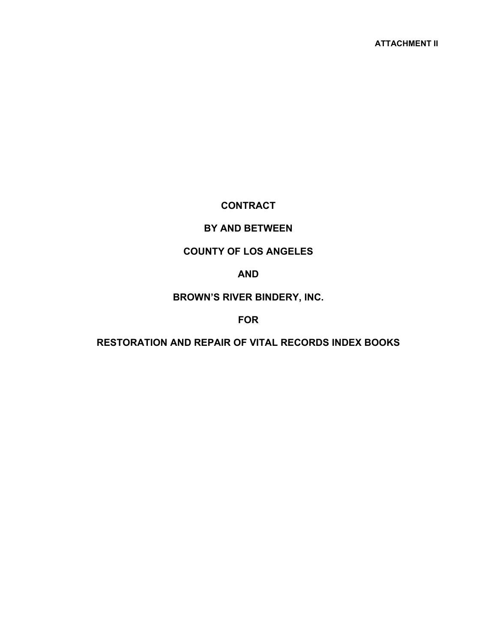### **CONTRACT**

### **BY AND BETWEEN**

### **COUNTY OF LOS ANGELES**

#### **AND**

### **BROWN'S RIVER BINDERY, INC.**

#### **FOR**

### **RESTORATION AND REPAIR OF VITAL RECORDS INDEX BOOKS**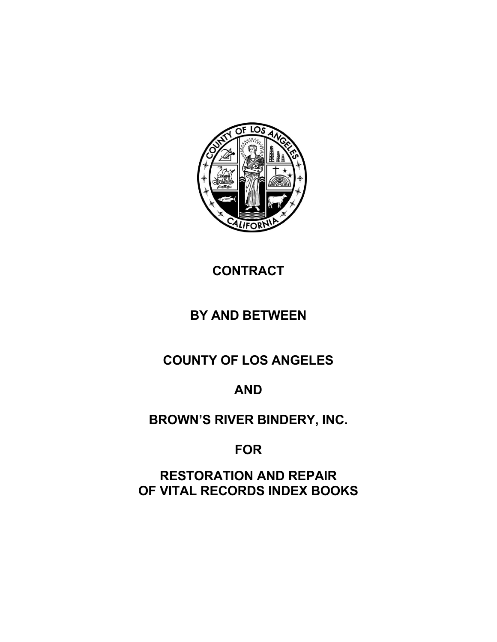

# **CONTRACT**

# **BY AND BETWEEN**

**COUNTY OF LOS ANGELES** 

# **AND**

# **BROWN'S RIVER BINDERY, INC.**

**FOR** 

**RESTORATION AND REPAIR OF VITAL RECORDS INDEX BOOKS**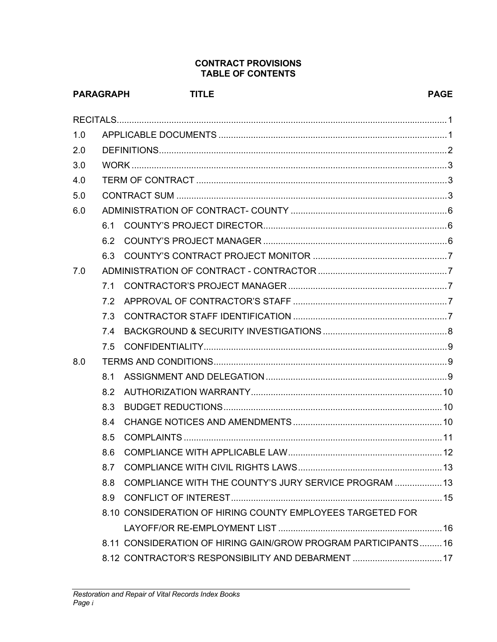#### **CONTRACT PROVISIONS TABLE OF CONTENTS**

|     | <b>PARAGRAPH</b> | <b>TITLE</b>                                                  | <b>PAGE</b> |
|-----|------------------|---------------------------------------------------------------|-------------|
|     |                  |                                                               |             |
| 1.0 |                  |                                                               |             |
| 2.0 |                  |                                                               |             |
| 3.0 |                  |                                                               |             |
| 4.0 |                  |                                                               |             |
| 5.0 |                  |                                                               |             |
| 6.0 |                  |                                                               |             |
|     | 6.1              |                                                               |             |
|     | 6.2              |                                                               |             |
|     | 6.3              |                                                               |             |
| 7.0 |                  |                                                               |             |
|     | 7.1              |                                                               |             |
|     | 7.2              |                                                               |             |
|     | 7.3              |                                                               |             |
|     | 7.4              |                                                               |             |
|     | 7.5              |                                                               |             |
| 8.0 |                  |                                                               |             |
|     | 8.1              |                                                               |             |
|     | 8.2              |                                                               |             |
|     | 8.3              |                                                               |             |
|     | 8.4              |                                                               |             |
|     | 8.5              |                                                               |             |
|     | 8.6              |                                                               |             |
|     | 8.7              |                                                               |             |
|     | 8.8              | COMPLIANCE WITH THE COUNTY'S JURY SERVICE PROGRAM  13         |             |
|     |                  |                                                               |             |
|     |                  | 8.10 CONSIDERATION OF HIRING COUNTY EMPLOYEES TARGETED FOR    |             |
|     |                  |                                                               |             |
|     |                  | 8.11 CONSIDERATION OF HIRING GAIN/GROW PROGRAM PARTICIPANTS16 |             |
|     |                  | 8.12 CONTRACTOR'S RESPONSIBILITY AND DEBARMENT  17            |             |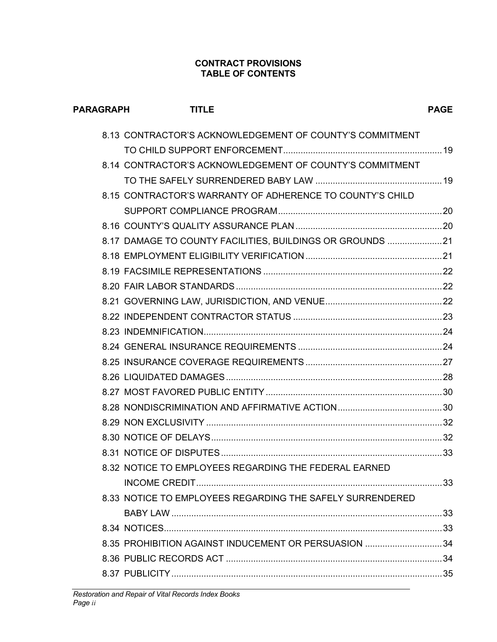#### **CONTRACT PROVISIONS TABLE OF CONTENTS**

| <b>PARAGRAPH</b> | <b>TITLE</b>                                              | <b>PAGE</b> |
|------------------|-----------------------------------------------------------|-------------|
|                  | 8.13 CONTRACTOR'S ACKNOWLEDGEMENT OF COUNTY'S COMMITMENT  |             |
|                  |                                                           |             |
|                  | 8.14 CONTRACTOR'S ACKNOWLEDGEMENT OF COUNTY'S COMMITMENT  |             |
|                  |                                                           |             |
|                  | 8.15 CONTRACTOR'S WARRANTY OF ADHERENCE TO COUNTY'S CHILD |             |
|                  |                                                           |             |
|                  |                                                           |             |
|                  | 8.17 DAMAGE TO COUNTY FACILITIES, BUILDINGS OR GROUNDS 21 |             |
|                  |                                                           |             |
|                  |                                                           |             |
|                  |                                                           |             |
|                  |                                                           |             |
|                  |                                                           |             |
|                  |                                                           |             |
|                  |                                                           |             |
|                  |                                                           |             |
|                  |                                                           |             |
|                  |                                                           |             |
|                  |                                                           |             |
|                  |                                                           |             |
|                  |                                                           |             |
|                  |                                                           |             |
|                  | 8.32 NOTICE TO EMPLOYEES REGARDING THE FEDERAL EARNED     |             |
|                  |                                                           |             |
|                  | 8.33 NOTICE TO EMPLOYEES REGARDING THE SAFELY SURRENDERED |             |
|                  |                                                           |             |
|                  |                                                           |             |
|                  | 8.35 PROHIBITION AGAINST INDUCEMENT OR PERSUASION  34     |             |
|                  |                                                           |             |
|                  |                                                           |             |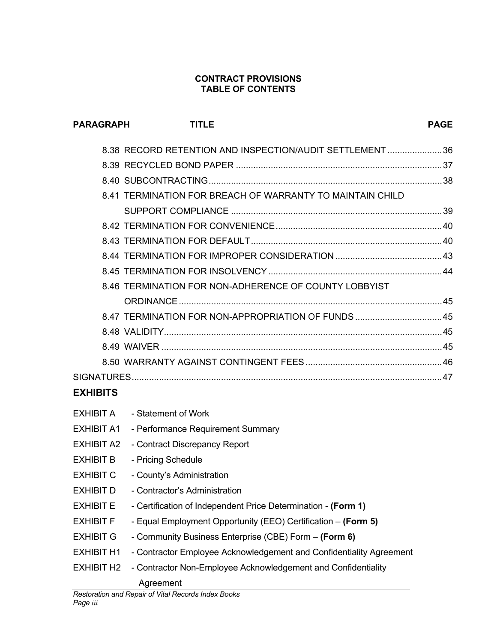#### **CONTRACT PROVISIONS TABLE OF CONTENTS**

**PARAGRAPH TITLE PAGE PAGE** 

|                 | 8.38 RECORD RETENTION AND INSPECTION/AUDIT SETTLEMENT 36  |  |
|-----------------|-----------------------------------------------------------|--|
|                 |                                                           |  |
|                 |                                                           |  |
|                 | 8.41 TERMINATION FOR BREACH OF WARRANTY TO MAINTAIN CHILD |  |
|                 |                                                           |  |
|                 |                                                           |  |
|                 |                                                           |  |
|                 |                                                           |  |
|                 |                                                           |  |
|                 | 8.46 TERMINATION FOR NON-ADHERENCE OF COUNTY LOBBYIST     |  |
|                 |                                                           |  |
|                 | 8.47 TERMINATION FOR NON-APPROPRIATION OF FUNDS  45       |  |
|                 |                                                           |  |
|                 |                                                           |  |
|                 |                                                           |  |
|                 |                                                           |  |
| <b>EXHIBITS</b> |                                                           |  |
|                 | <b>EXHIBIT A - Statement of Work</b>                      |  |
| EXHIBIT A1      | - Performance Requirement Summary                         |  |
|                 |                                                           |  |

- EXHIBIT A2 Contract Discrepancy Report
- EXHIBIT B Pricing Schedule
- EXHIBIT C County's Administration
- EXHIBIT D Contractor's Administration
- EXHIBIT E Certification of Independent Price Determination **(Form 1)**
- EXHIBIT F Equal Employment Opportunity (EEO) Certification **(Form 5)**
- EXHIBIT G Community Business Enterprise (CBE) Form **(Form 6)**
- EXHIBIT H1 Contractor Employee Acknowledgement and Confidentiality Agreement
- EXHIBIT H2 Contractor Non-Employee Acknowledgement and Confidentiality Agreement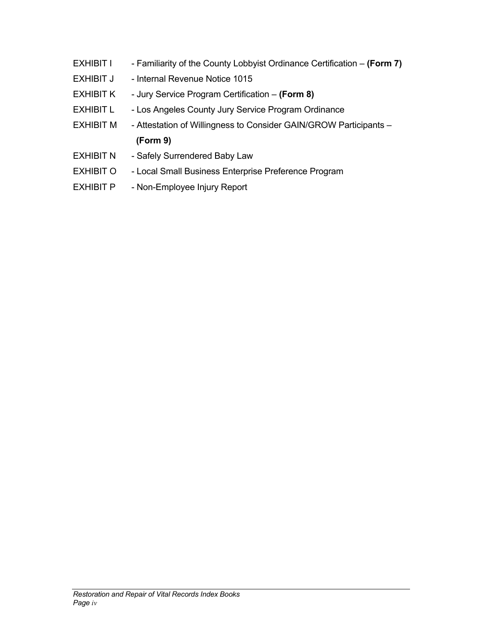- EXHIBIT I Familiarity of the County Lobbyist Ordinance Certification **(Form 7)** EXHIBIT J - Internal Revenue Notice 1015 EXHIBIT K - Jury Service Program Certification – **(Form 8)** EXHIBIT L - Los Angeles County Jury Service Program Ordinance EXHIBIT M - Attestation of Willingness to Consider GAIN/GROW Participants - **(Form 9)** EXHIBIT N - Safely Surrendered Baby Law EXHIBIT O - Local Small Business Enterprise Preference Program
- EXHIBIT P Non-Employee Injury Report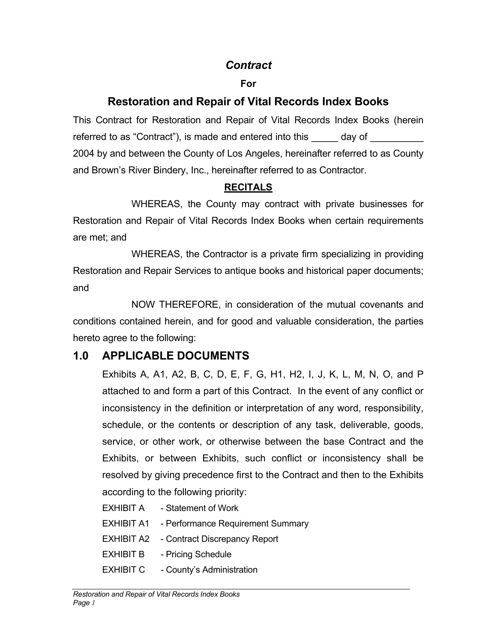## *Contract*

### **For**

# **Restoration and Repair of Vital Records Index Books**

This Contract for Restoration and Repair of Vital Records Index Books (herein referred to as "Contract"), is made and entered into this day of 2004 by and between the County of Los Angeles, hereinafter referred to as County and Brown's River Bindery, Inc., hereinafter referred to as Contractor.

### **RECITALS**

WHEREAS, the County may contract with private businesses for Restoration and Repair of Vital Records Index Books when certain requirements are met; and

WHEREAS, the Contractor is a private firm specializing in providing Restoration and Repair Services to antique books and historical paper documents; and

 NOW THEREFORE, in consideration of the mutual covenants and conditions contained herein, and for good and valuable consideration, the parties hereto agree to the following:

# **1.0 APPLICABLE DOCUMENTS**

Exhibits A, A1, A2, B, C, D, E, F, G, H1, H2, I, J, K, L, M, N, O, and P attached to and form a part of this Contract. In the event of any conflict or inconsistency in the definition or interpretation of any word, responsibility, schedule, or the contents or description of any task, deliverable, goods, service, or other work, or otherwise between the base Contract and the Exhibits, or between Exhibits, such conflict or inconsistency shall be resolved by giving precedence first to the Contract and then to the Exhibits according to the following priority:

- EXHIBIT A Statement of Work
- EXHIBIT A1 Performance Requirement Summary
- EXHIBIT A2 Contract Discrepancy Report
- EXHIBIT B Pricing Schedule
- EXHIBIT C County's Administration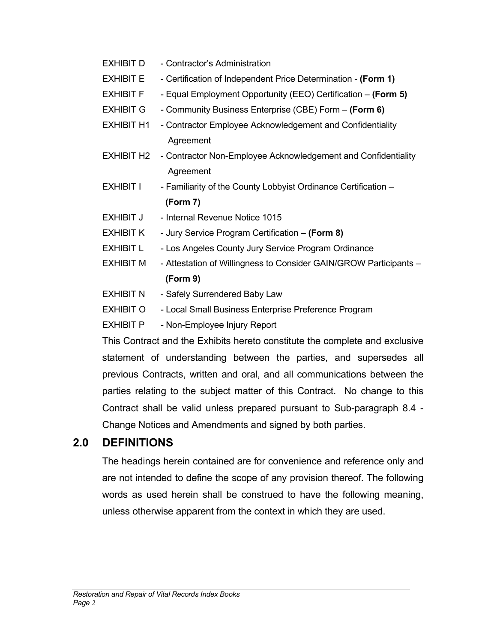- EXHIBIT D Contractor's Administration
- EXHIBIT E Certification of Independent Price Determination **(Form 1)**
- EXHIBIT F Equal Employment Opportunity (EEO) Certification **(Form 5)**
- EXHIBIT G Community Business Enterprise (CBE) Form **(Form 6)**
- EXHIBIT H1 Contractor Employee Acknowledgement and Confidentiality Agreement
- EXHIBIT H2 Contractor Non-Employee Acknowledgement and Confidentiality Agreement
- EXHIBIT I Familiarity of the County Lobbyist Ordinance Certification -**(Form 7)**
- EXHIBIT J Internal Revenue Notice 1015
- EXHIBIT K Jury Service Program Certification **(Form 8)**
- EXHIBIT L Los Angeles County Jury Service Program Ordinance
- EXHIBIT M Attestation of Willingness to Consider GAIN/GROW Participants **(Form 9)**
- EXHIBIT N Safely Surrendered Baby Law
- EXHIBIT O Local Small Business Enterprise Preference Program
- EXHIBIT P Non-Employee Injury Report

This Contract and the Exhibits hereto constitute the complete and exclusive statement of understanding between the parties, and supersedes all previous Contracts, written and oral, and all communications between the parties relating to the subject matter of this Contract. No change to this Contract shall be valid unless prepared pursuant to Sub-paragraph 8.4 - Change Notices and Amendments and signed by both parties.

# **2.0 DEFINITIONS**

The headings herein contained are for convenience and reference only and are not intended to define the scope of any provision thereof. The following words as used herein shall be construed to have the following meaning, unless otherwise apparent from the context in which they are used.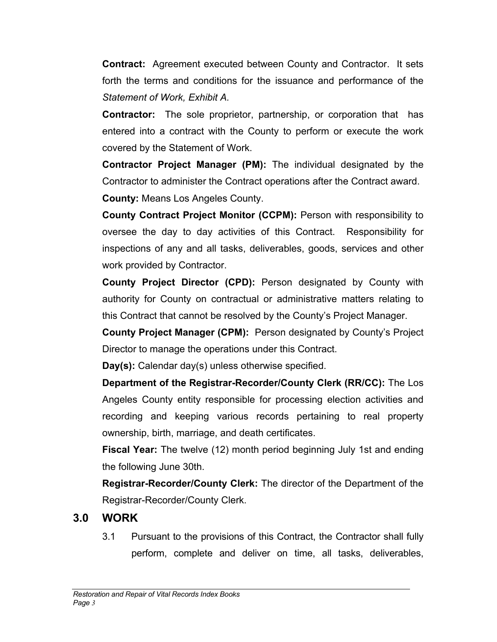**Contract:** Agreement executed between County and Contractor. It sets forth the terms and conditions for the issuance and performance of the *Statement of Work, Exhibit A.* 

**Contractor:** The sole proprietor, partnership, or corporation that has entered into a contract with the County to perform or execute the work covered by the Statement of Work.

**Contractor Project Manager (PM):** The individual designated by the Contractor to administer the Contract operations after the Contract award. **County:** Means Los Angeles County.

**County Contract Project Monitor (CCPM):** Person with responsibility to oversee the day to day activities of this Contract. Responsibility for inspections of any and all tasks, deliverables, goods, services and other work provided by Contractor.

**County Project Director (CPD):** Person designated by County with authority for County on contractual or administrative matters relating to this Contract that cannot be resolved by the County's Project Manager.

**County Project Manager (CPM):** Person designated by County's Project Director to manage the operations under this Contract.

**Day(s):** Calendar day(s) unless otherwise specified.

**Department of the Registrar-Recorder/County Clerk (RR/CC):** The Los Angeles County entity responsible for processing election activities and recording and keeping various records pertaining to real property ownership, birth, marriage, and death certificates.

**Fiscal Year:** The twelve (12) month period beginning July 1st and ending the following June 30th.

**Registrar-Recorder/County Clerk:** The director of the Department of the Registrar-Recorder/County Clerk.

# **3.0 WORK**

3.1 Pursuant to the provisions of this Contract, the Contractor shall fully perform, complete and deliver on time, all tasks, deliverables,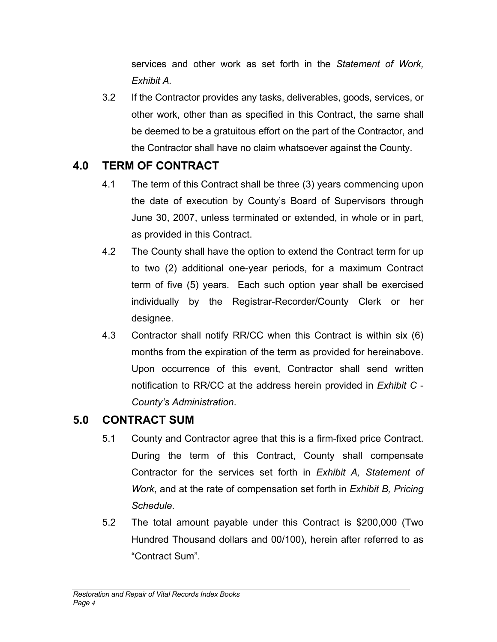services and other work as set forth in the *Statement of Work, Exhibit A.*

3.2 If the Contractor provides any tasks, deliverables, goods, services, or other work, other than as specified in this Contract, the same shall be deemed to be a gratuitous effort on the part of the Contractor, and the Contractor shall have no claim whatsoever against the County.

# **4.0 TERM OF CONTRACT**

- 4.1 The term of this Contract shall be three (3) years commencing upon the date of execution by County's Board of Supervisors through June 30, 2007, unless terminated or extended, in whole or in part, as provided in this Contract.
- 4.2 The County shall have the option to extend the Contract term for up to two (2) additional one-year periods, for a maximum Contract term of five (5) years. Each such option year shall be exercised individually by the Registrar-Recorder/County Clerk or her designee.
- 4.3 Contractor shall notify RR/CC when this Contract is within six (6) months from the expiration of the term as provided for hereinabove. Upon occurrence of this event, Contractor shall send written notification to RR/CC at the address herein provided in *Exhibit C* - *County's Administration*.

# **5.0 CONTRACT SUM**

- 5.1 County and Contractor agree that this is a firm-fixed price Contract. During the term of this Contract, County shall compensate Contractor for the services set forth in *Exhibit A, Statement of Work*, and at the rate of compensation set forth in *Exhibit B, Pricing Schedule*.
- 5.2 The total amount payable under this Contract is \$200,000 (Two Hundred Thousand dollars and 00/100), herein after referred to as "Contract Sum".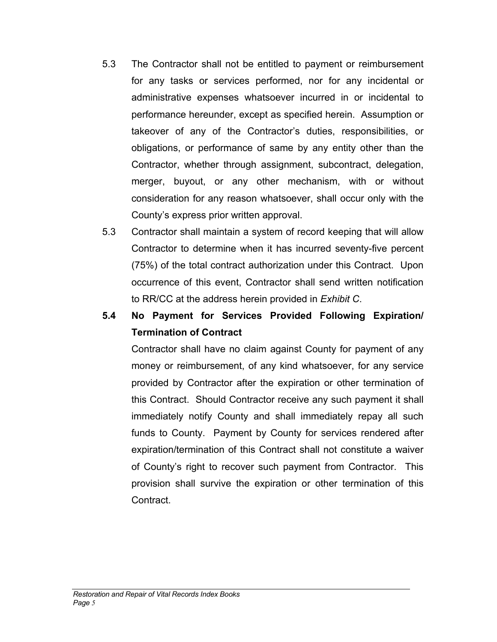- 5.3 The Contractor shall not be entitled to payment or reimbursement for any tasks or services performed, nor for any incidental or administrative expenses whatsoever incurred in or incidental to performance hereunder, except as specified herein. Assumption or takeover of any of the Contractor's duties, responsibilities, or obligations, or performance of same by any entity other than the Contractor, whether through assignment, subcontract, delegation, merger, buyout, or any other mechanism, with or without consideration for any reason whatsoever, shall occur only with the County's express prior written approval.
- 5.3 Contractor shall maintain a system of record keeping that will allow Contractor to determine when it has incurred seventy-five percent (75%) of the total contract authorization under this Contract. Upon occurrence of this event, Contractor shall send written notification to RR/CC at the address herein provided in *Exhibit C*.

# **5.4 No Payment for Services Provided Following Expiration/ Termination of Contract**

Contractor shall have no claim against County for payment of any money or reimbursement, of any kind whatsoever, for any service provided by Contractor after the expiration or other termination of this Contract. Should Contractor receive any such payment it shall immediately notify County and shall immediately repay all such funds to County. Payment by County for services rendered after expiration/termination of this Contract shall not constitute a waiver of County's right to recover such payment from Contractor. This provision shall survive the expiration or other termination of this Contract.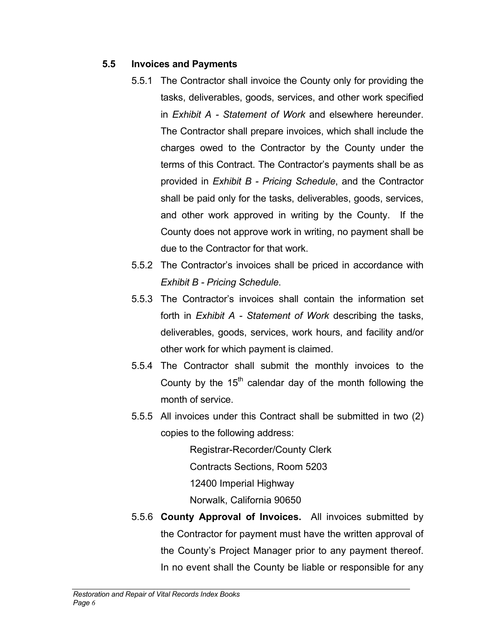### **5.5 Invoices and Payments**

- 5.5.1 The Contractor shall invoice the County only for providing the tasks, deliverables, goods, services, and other work specified in *Exhibit A - Statement of Work* and elsewhere hereunder. The Contractor shall prepare invoices, which shall include the charges owed to the Contractor by the County under the terms of this Contract. The Contractor's payments shall be as provided in *Exhibit B - Pricing Schedule*, and the Contractor shall be paid only for the tasks, deliverables, goods, services, and other work approved in writing by the County. If the County does not approve work in writing, no payment shall be due to the Contractor for that work.
- 5.5.2 The Contractor's invoices shall be priced in accordance with *Exhibit B - Pricing Schedule*.
- 5.5.3 The Contractor's invoices shall contain the information set forth in *Exhibit A - Statement of Work* describing the tasks, deliverables, goods, services, work hours, and facility and/or other work for which payment is claimed.
- 5.5.4 The Contractor shall submit the monthly invoices to the County by the  $15<sup>th</sup>$  calendar day of the month following the month of service.
- 5.5.5 All invoices under this Contract shall be submitted in two (2) copies to the following address:

Registrar-Recorder/County Clerk Contracts Sections, Room 5203 12400 Imperial Highway Norwalk, California 90650

5.5.6 **County Approval of Invoices.** All invoices submitted by the Contractor for payment must have the written approval of the County's Project Manager prior to any payment thereof. In no event shall the County be liable or responsible for any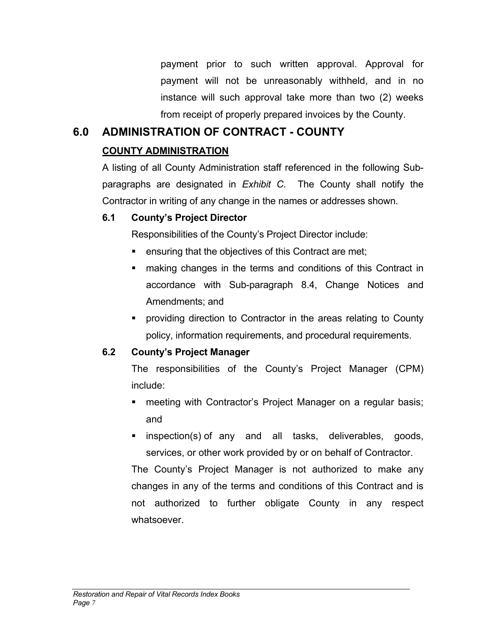payment prior to such written approval. Approval for payment will not be unreasonably withheld, and in no instance will such approval take more than two (2) weeks from receipt of properly prepared invoices by the County.

# **6.0 ADMINISTRATION OF CONTRACT - COUNTY COUNTY ADMINISTRATION**

A listing of all County Administration staff referenced in the following Subparagraphs are designated in *Exhibit C*. The County shall notify the Contractor in writing of any change in the names or addresses shown.

### **6.1 County's Project Director**

Responsibilities of the County's Project Director include:

- **EXE** ensuring that the objectives of this Contract are met;
- **EXECT** making changes in the terms and conditions of this Contract in accordance with Sub-paragraph 8.4, Change Notices and Amendments; and
- providing direction to Contractor in the areas relating to County policy, information requirements, and procedural requirements.

### **6.2 County's Project Manager**

The responsibilities of the County's Project Manager (CPM) include:

- **neeting with Contractor's Project Manager on a regular basis;** and
- **Example inspection(s) of any and all tasks, deliverables, goods,** services, or other work provided by or on behalf of Contractor.

The County's Project Manager is not authorized to make any changes in any of the terms and conditions of this Contract and is not authorized to further obligate County in any respect whatsoever.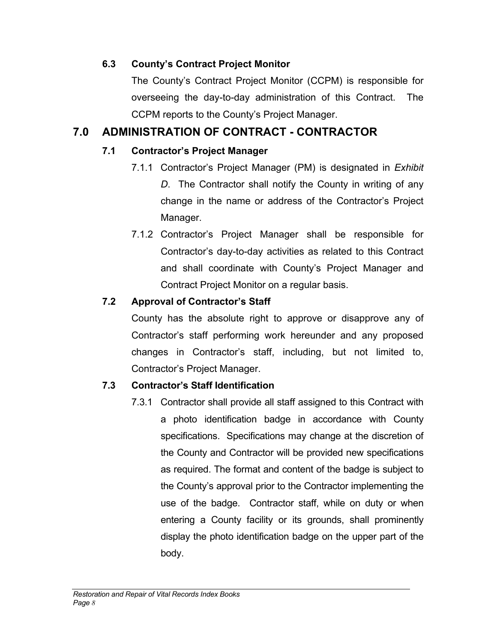### **6.3 County's Contract Project Monitor**

The County's Contract Project Monitor (CCPM) is responsible for overseeing the day-to-day administration of this Contract. The CCPM reports to the County's Project Manager.

# **7.0 ADMINISTRATION OF CONTRACT - CONTRACTOR**

## **7.1 Contractor's Project Manager**

- 7.1.1 Contractor's Project Manager (PM) is designated in *Exhibit D*. The Contractor shall notify the County in writing of any change in the name or address of the Contractor's Project Manager.
- 7.1.2 Contractor's Project Manager shall be responsible for Contractor's day-to-day activities as related to this Contract and shall coordinate with County's Project Manager and Contract Project Monitor on a regular basis.

# **7.2 Approval of Contractor's Staff**

County has the absolute right to approve or disapprove any of Contractor's staff performing work hereunder and any proposed changes in Contractor's staff, including, but not limited to, Contractor's Project Manager.

# **7.3 Contractor's Staff Identification**

7.3.1 Contractor shall provide all staff assigned to this Contract with a photo identification badge in accordance with County specifications. Specifications may change at the discretion of the County and Contractor will be provided new specifications as required. The format and content of the badge is subject to the County's approval prior to the Contractor implementing the use of the badge. Contractor staff, while on duty or when entering a County facility or its grounds, shall prominently display the photo identification badge on the upper part of the body.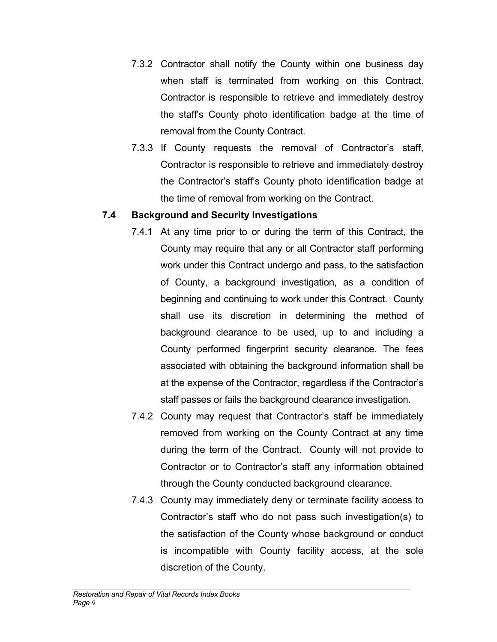- 7.3.2 Contractor shall notify the County within one business day when staff is terminated from working on this Contract. Contractor is responsible to retrieve and immediately destroy the staff's County photo identification badge at the time of removal from the County Contract.
- 7.3.3 If County requests the removal of Contractor's staff, Contractor is responsible to retrieve and immediately destroy the Contractor's staff's County photo identification badge at the time of removal from working on the Contract.

### **7.4 Background and Security Investigations**

- 7.4.1 At any time prior to or during the term of this Contract, the County may require that any or all Contractor staff performing work under this Contract undergo and pass, to the satisfaction of County, a background investigation, as a condition of beginning and continuing to work under this Contract. County shall use its discretion in determining the method of background clearance to be used, up to and including a County performed fingerprint security clearance. The fees associated with obtaining the background information shall be at the expense of the Contractor, regardless if the Contractor's staff passes or fails the background clearance investigation.
- 7.4.2 County may request that Contractor's staff be immediately removed from working on the County Contract at any time during the term of the Contract. County will not provide to Contractor or to Contractor's staff any information obtained through the County conducted background clearance.
- 7.4.3 County may immediately deny or terminate facility access to Contractor's staff who do not pass such investigation(s) to the satisfaction of the County whose background or conduct is incompatible with County facility access, at the sole discretion of the County.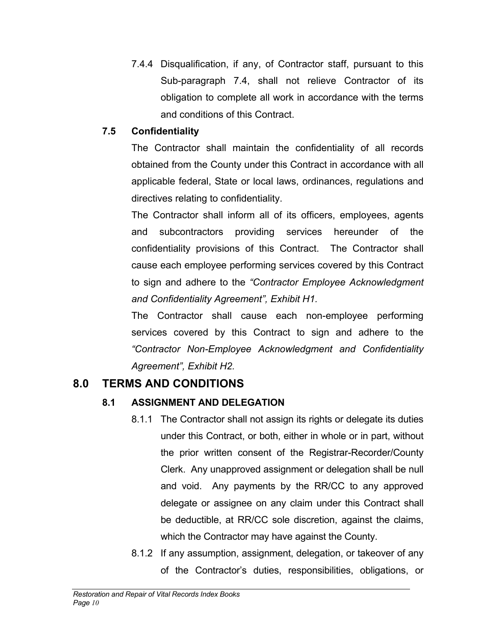7.4.4 Disqualification, if any, of Contractor staff, pursuant to this Sub-paragraph 7.4, shall not relieve Contractor of its obligation to complete all work in accordance with the terms and conditions of this Contract.

### **7.5 Confidentiality**

The Contractor shall maintain the confidentiality of all records obtained from the County under this Contract in accordance with all applicable federal, State or local laws, ordinances, regulations and directives relating to confidentiality.

The Contractor shall inform all of its officers, employees, agents and subcontractors providing services hereunder of the confidentiality provisions of this Contract. The Contractor shall cause each employee performing services covered by this Contract to sign and adhere to the *"Contractor Employee Acknowledgment and Confidentiality Agreement", Exhibit H1.* 

The Contractor shall cause each non-employee performing services covered by this Contract to sign and adhere to the *"Contractor Non-Employee Acknowledgment and Confidentiality Agreement", Exhibit H2.* 

# **8.0 TERMS AND CONDITIONS**

### **8.1 ASSIGNMENT AND DELEGATION**

- 8.1.1 The Contractor shall not assign its rights or delegate its duties under this Contract, or both, either in whole or in part, without the prior written consent of the Registrar-Recorder/County Clerk. Any unapproved assignment or delegation shall be null and void. Any payments by the RR/CC to any approved delegate or assignee on any claim under this Contract shall be deductible, at RR/CC sole discretion, against the claims, which the Contractor may have against the County.
- 8.1.2 If any assumption, assignment, delegation, or takeover of any of the Contractor's duties, responsibilities, obligations, or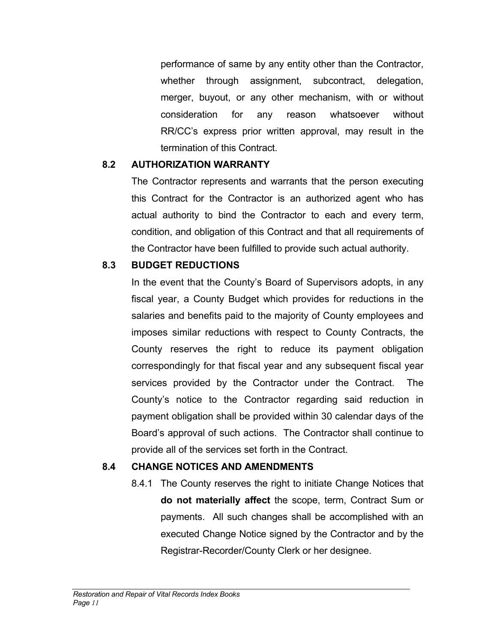performance of same by any entity other than the Contractor, whether through assignment, subcontract, delegation, merger, buyout, or any other mechanism, with or without consideration for any reason whatsoever without RR/CC's express prior written approval, may result in the termination of this Contract.

### **8.2 AUTHORIZATION WARRANTY**

The Contractor represents and warrants that the person executing this Contract for the Contractor is an authorized agent who has actual authority to bind the Contractor to each and every term, condition, and obligation of this Contract and that all requirements of the Contractor have been fulfilled to provide such actual authority.

### **8.3 BUDGET REDUCTIONS**

In the event that the County's Board of Supervisors adopts, in any fiscal year, a County Budget which provides for reductions in the salaries and benefits paid to the majority of County employees and imposes similar reductions with respect to County Contracts, the County reserves the right to reduce its payment obligation correspondingly for that fiscal year and any subsequent fiscal year services provided by the Contractor under the Contract. The County's notice to the Contractor regarding said reduction in payment obligation shall be provided within 30 calendar days of the Board's approval of such actions. The Contractor shall continue to provide all of the services set forth in the Contract.

### **8.4 CHANGE NOTICES AND AMENDMENTS**

8.4.1 The County reserves the right to initiate Change Notices that **do not materially affect** the scope, term, Contract Sum or payments. All such changes shall be accomplished with an executed Change Notice signed by the Contractor and by the Registrar-Recorder/County Clerk or her designee.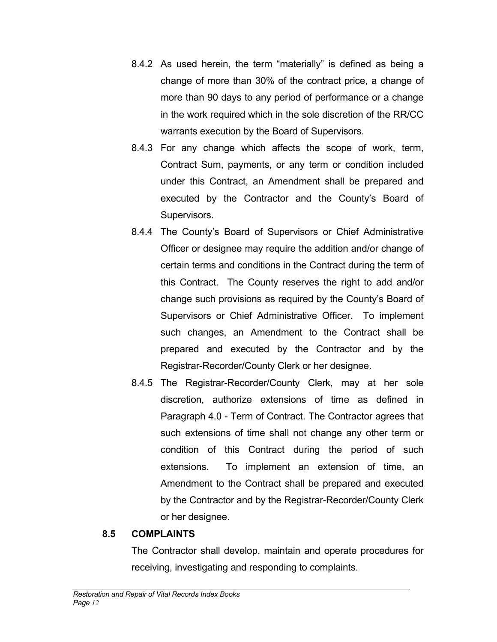- 8.4.2 As used herein, the term "materially" is defined as being a change of more than 30% of the contract price, a change of more than 90 days to any period of performance or a change in the work required which in the sole discretion of the RR/CC warrants execution by the Board of Supervisors.
- 8.4.3 For any change which affects the scope of work, term, Contract Sum, payments, or any term or condition included under this Contract, an Amendment shall be prepared and executed by the Contractor and the County's Board of Supervisors.
- 8.4.4 The County's Board of Supervisors or Chief Administrative Officer or designee may require the addition and/or change of certain terms and conditions in the Contract during the term of this Contract. The County reserves the right to add and/or change such provisions as required by the County's Board of Supervisors or Chief Administrative Officer. To implement such changes, an Amendment to the Contract shall be prepared and executed by the Contractor and by the Registrar-Recorder/County Clerk or her designee.
- 8.4.5 The Registrar-Recorder/County Clerk, may at her sole discretion, authorize extensions of time as defined in Paragraph 4.0 - Term of Contract. The Contractor agrees that such extensions of time shall not change any other term or condition of this Contract during the period of such extensions. To implement an extension of time, an Amendment to the Contract shall be prepared and executed by the Contractor and by the Registrar-Recorder/County Clerk or her designee.

### **8.5 COMPLAINTS**

The Contractor shall develop, maintain and operate procedures for receiving, investigating and responding to complaints.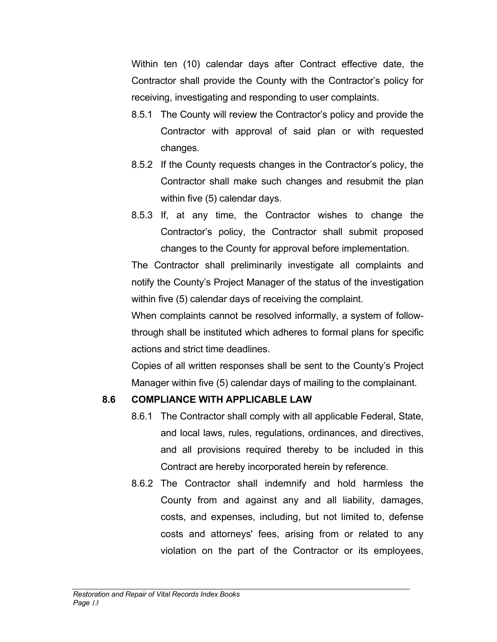Within ten (10) calendar days after Contract effective date, the Contractor shall provide the County with the Contractor's policy for receiving, investigating and responding to user complaints.

- 8.5.1 The County will review the Contractor's policy and provide the Contractor with approval of said plan or with requested changes.
- 8.5.2 If the County requests changes in the Contractor's policy, the Contractor shall make such changes and resubmit the plan within five (5) calendar days.
- 8.5.3 If, at any time, the Contractor wishes to change the Contractor's policy, the Contractor shall submit proposed changes to the County for approval before implementation.

The Contractor shall preliminarily investigate all complaints and notify the County's Project Manager of the status of the investigation within five (5) calendar days of receiving the complaint.

When complaints cannot be resolved informally, a system of followthrough shall be instituted which adheres to formal plans for specific actions and strict time deadlines.

Copies of all written responses shall be sent to the County's Project Manager within five (5) calendar days of mailing to the complainant.

### **8.6 COMPLIANCE WITH APPLICABLE LAW**

- 8.6.1 The Contractor shall comply with all applicable Federal, State, and local laws, rules, regulations, ordinances, and directives, and all provisions required thereby to be included in this Contract are hereby incorporated herein by reference.
- 8.6.2 The Contractor shall indemnify and hold harmless the County from and against any and all liability, damages, costs, and expenses, including, but not limited to, defense costs and attorneys' fees, arising from or related to any violation on the part of the Contractor or its employees,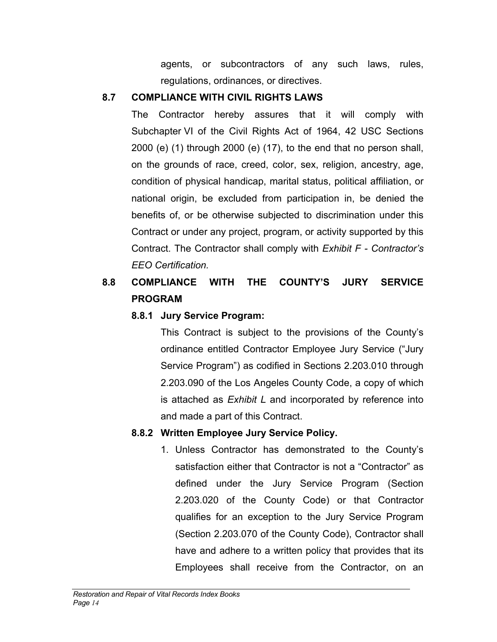agents, or subcontractors of any such laws, rules, regulations, ordinances, or directives.

### **8.7 COMPLIANCE WITH CIVIL RIGHTS LAWS**

The Contractor hereby assures that it will comply with Subchapter VI of the Civil Rights Act of 1964, 42 USC Sections 2000 (e) (1) through 2000 (e) (17), to the end that no person shall, on the grounds of race, creed, color, sex, religion, ancestry, age, condition of physical handicap, marital status, political affiliation, or national origin, be excluded from participation in, be denied the benefits of, or be otherwise subjected to discrimination under this Contract or under any project, program, or activity supported by this Contract. The Contractor shall comply with *Exhibit F - Contractor's EEO Certification.*

# **8.8 COMPLIANCE WITH THE COUNTY'S JURY SERVICE PROGRAM**

### **8.8.1 Jury Service Program:**

This Contract is subject to the provisions of the County's ordinance entitled Contractor Employee Jury Service ("Jury Service Program") as codified in Sections 2.203.010 through 2.203.090 of the Los Angeles County Code, a copy of which is attached as *Exhibit L* and incorporated by reference into and made a part of this Contract.

### **8.8.2 Written Employee Jury Service Policy.**

1. Unless Contractor has demonstrated to the County's satisfaction either that Contractor is not a "Contractor" as defined under the Jury Service Program (Section 2.203.020 of the County Code) or that Contractor qualifies for an exception to the Jury Service Program (Section 2.203.070 of the County Code), Contractor shall have and adhere to a written policy that provides that its Employees shall receive from the Contractor, on an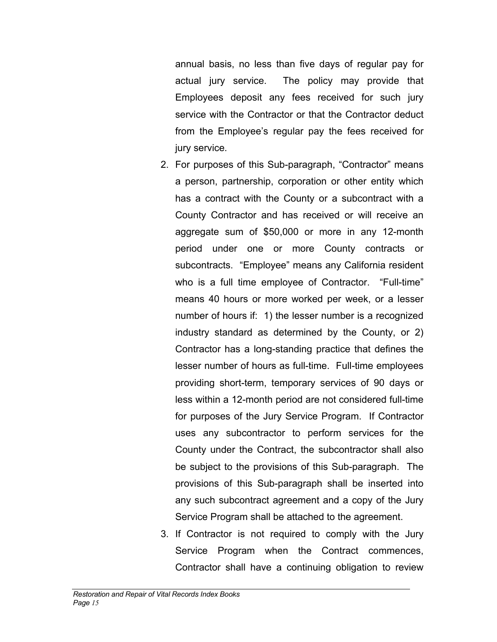annual basis, no less than five days of regular pay for actual jury service. The policy may provide that Employees deposit any fees received for such jury service with the Contractor or that the Contractor deduct from the Employee's regular pay the fees received for jury service.

- 2. For purposes of this Sub-paragraph, "Contractor" means a person, partnership, corporation or other entity which has a contract with the County or a subcontract with a County Contractor and has received or will receive an aggregate sum of \$50,000 or more in any 12-month period under one or more County contracts or subcontracts. "Employee" means any California resident who is a full time employee of Contractor. "Full-time" means 40 hours or more worked per week, or a lesser number of hours if: 1) the lesser number is a recognized industry standard as determined by the County, or 2) Contractor has a long-standing practice that defines the lesser number of hours as full-time. Full-time employees providing short-term, temporary services of 90 days or less within a 12-month period are not considered full-time for purposes of the Jury Service Program. If Contractor uses any subcontractor to perform services for the County under the Contract, the subcontractor shall also be subject to the provisions of this Sub-paragraph. The provisions of this Sub-paragraph shall be inserted into any such subcontract agreement and a copy of the Jury Service Program shall be attached to the agreement.
- 3. If Contractor is not required to comply with the Jury Service Program when the Contract commences, Contractor shall have a continuing obligation to review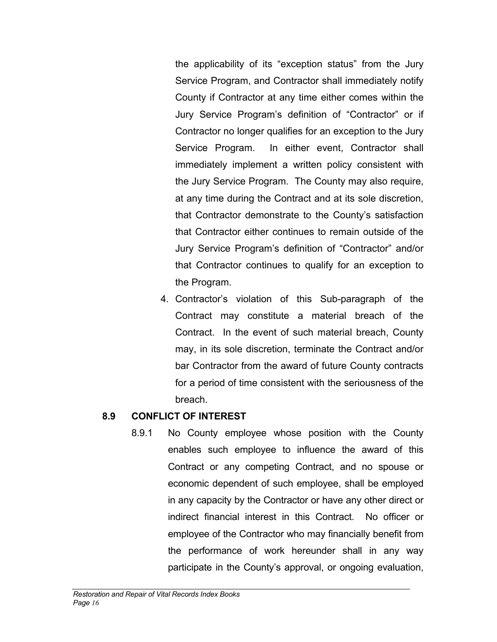the applicability of its "exception status" from the Jury Service Program, and Contractor shall immediately notify County if Contractor at any time either comes within the Jury Service Program's definition of "Contractor" or if Contractor no longer qualifies for an exception to the Jury Service Program. In either event, Contractor shall immediately implement a written policy consistent with the Jury Service Program. The County may also require, at any time during the Contract and at its sole discretion, that Contractor demonstrate to the County's satisfaction that Contractor either continues to remain outside of the Jury Service Program's definition of "Contractor" and/or that Contractor continues to qualify for an exception to the Program.

4. Contractor's violation of this Sub-paragraph of the Contract may constitute a material breach of the Contract. In the event of such material breach, County may, in its sole discretion, terminate the Contract and/or bar Contractor from the award of future County contracts for a period of time consistent with the seriousness of the breach.

### **8.9 CONFLICT OF INTEREST**

8.9.1 No County employee whose position with the County enables such employee to influence the award of this Contract or any competing Contract, and no spouse or economic dependent of such employee, shall be employed in any capacity by the Contractor or have any other direct or indirect financial interest in this Contract. No officer or employee of the Contractor who may financially benefit from the performance of work hereunder shall in any way participate in the County's approval, or ongoing evaluation,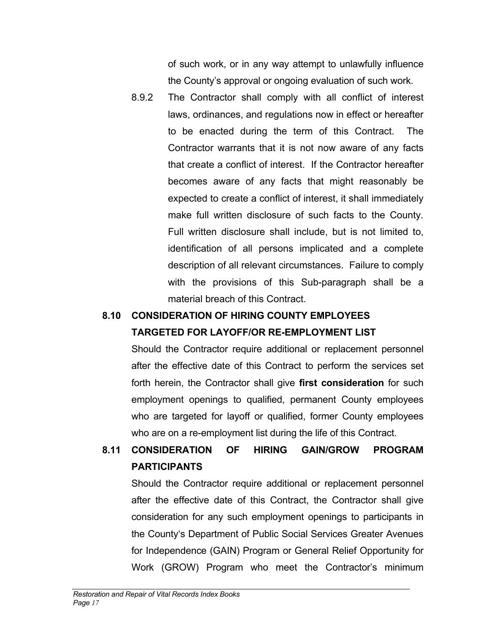of such work, or in any way attempt to unlawfully influence the County's approval or ongoing evaluation of such work.

8.9.2 The Contractor shall comply with all conflict of interest laws, ordinances, and regulations now in effect or hereafter to be enacted during the term of this Contract. The Contractor warrants that it is not now aware of any facts that create a conflict of interest. If the Contractor hereafter becomes aware of any facts that might reasonably be expected to create a conflict of interest, it shall immediately make full written disclosure of such facts to the County. Full written disclosure shall include, but is not limited to, identification of all persons implicated and a complete description of all relevant circumstances. Failure to comply with the provisions of this Sub-paragraph shall be a material breach of this Contract.

### **8.10 CONSIDERATION OF HIRING COUNTY EMPLOYEES TARGETED FOR LAYOFF/OR RE-EMPLOYMENT LIST**

Should the Contractor require additional or replacement personnel after the effective date of this Contract to perform the services set forth herein, the Contractor shall give **first consideration** for such employment openings to qualified, permanent County employees who are targeted for layoff or qualified, former County employees who are on a re-employment list during the life of this Contract.

# **8.11 CONSIDERATION OF HIRING GAIN/GROW PROGRAM PARTICIPANTS**

Should the Contractor require additional or replacement personnel after the effective date of this Contract, the Contractor shall give consideration for any such employment openings to participants in the County's Department of Public Social Services Greater Avenues for Independence (GAIN) Program or General Relief Opportunity for Work (GROW) Program who meet the Contractor's minimum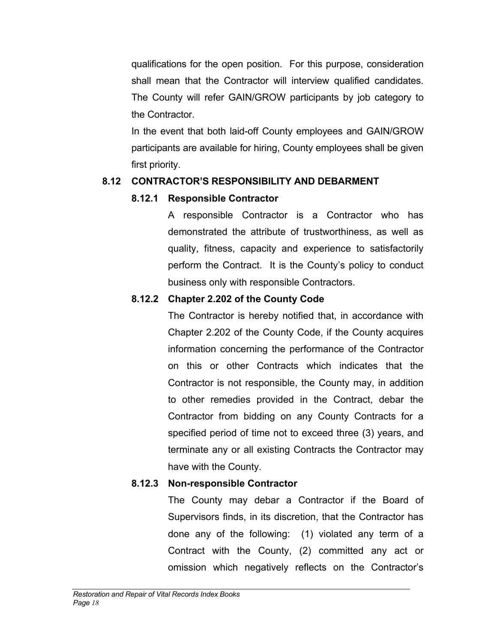qualifications for the open position. For this purpose, consideration shall mean that the Contractor will interview qualified candidates. The County will refer GAIN/GROW participants by job category to the Contractor.

In the event that both laid-off County employees and GAIN/GROW participants are available for hiring, County employees shall be given first priority.

### **8.12 CONTRACTOR'S RESPONSIBILITY AND DEBARMENT**

## **8.12.1 Responsible Contractor**

 A responsible Contractor is a Contractor who has demonstrated the attribute of trustworthiness, as well as quality, fitness, capacity and experience to satisfactorily perform the Contract. It is the County's policy to conduct business only with responsible Contractors.

# **8.12.2 Chapter 2.202 of the County Code**

The Contractor is hereby notified that, in accordance with Chapter 2.202 of the County Code, if the County acquires information concerning the performance of the Contractor on this or other Contracts which indicates that the Contractor is not responsible, the County may, in addition to other remedies provided in the Contract, debar the Contractor from bidding on any County Contracts for a specified period of time not to exceed three (3) years, and terminate any or all existing Contracts the Contractor may have with the County.

# **8.12.3 Non-responsible Contractor**

The County may debar a Contractor if the Board of Supervisors finds, in its discretion, that the Contractor has done any of the following: (1) violated any term of a Contract with the County, (2) committed any act or omission which negatively reflects on the Contractor's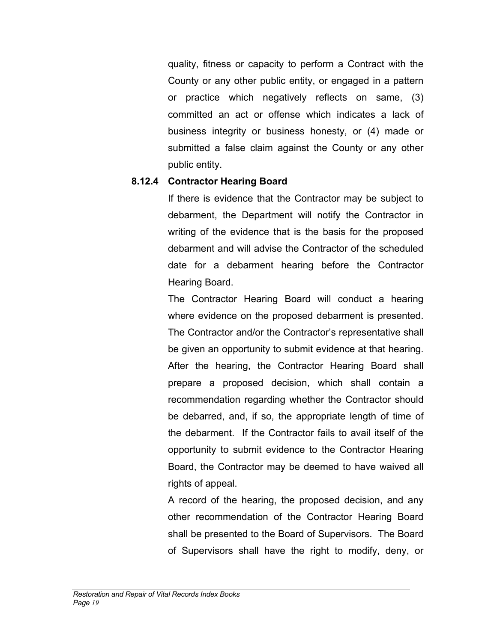quality, fitness or capacity to perform a Contract with the County or any other public entity, or engaged in a pattern or practice which negatively reflects on same, (3) committed an act or offense which indicates a lack of business integrity or business honesty, or (4) made or submitted a false claim against the County or any other public entity.

### **8.12.4 Contractor Hearing Board**

If there is evidence that the Contractor may be subject to debarment, the Department will notify the Contractor in writing of the evidence that is the basis for the proposed debarment and will advise the Contractor of the scheduled date for a debarment hearing before the Contractor Hearing Board.

The Contractor Hearing Board will conduct a hearing where evidence on the proposed debarment is presented. The Contractor and/or the Contractor's representative shall be given an opportunity to submit evidence at that hearing. After the hearing, the Contractor Hearing Board shall prepare a proposed decision, which shall contain a recommendation regarding whether the Contractor should be debarred, and, if so, the appropriate length of time of the debarment. If the Contractor fails to avail itself of the opportunity to submit evidence to the Contractor Hearing Board, the Contractor may be deemed to have waived all rights of appeal.

A record of the hearing, the proposed decision, and any other recommendation of the Contractor Hearing Board shall be presented to the Board of Supervisors. The Board of Supervisors shall have the right to modify, deny, or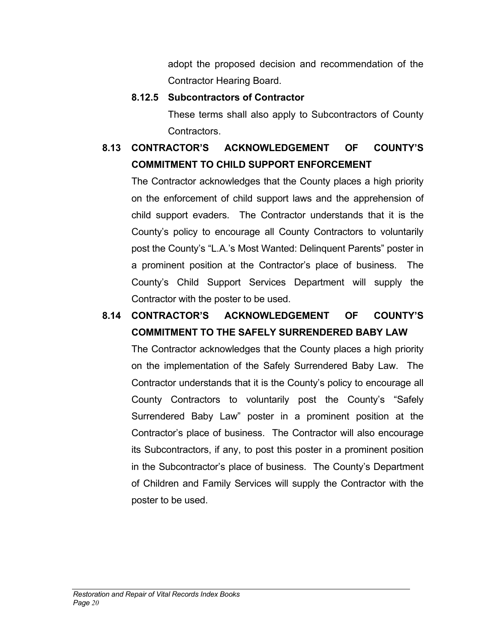adopt the proposed decision and recommendation of the Contractor Hearing Board.

### **8.12.5 Subcontractors of Contractor**

These terms shall also apply to Subcontractors of County Contractors.

# **8.13 CONTRACTOR'S ACKNOWLEDGEMENT OF COUNTY'S COMMITMENT TO CHILD SUPPORT ENFORCEMENT**

The Contractor acknowledges that the County places a high priority on the enforcement of child support laws and the apprehension of child support evaders. The Contractor understands that it is the County's policy to encourage all County Contractors to voluntarily post the County's "L.A.'s Most Wanted: Delinquent Parents" poster in a prominent position at the Contractor's place of business. The County's Child Support Services Department will supply the Contractor with the poster to be used.

# **8.14 CONTRACTOR'S ACKNOWLEDGEMENT OF COUNTY'S COMMITMENT TO THE SAFELY SURRENDERED BABY LAW**

 The Contractor acknowledges that the County places a high priority on the implementation of the Safely Surrendered Baby Law. The Contractor understands that it is the County's policy to encourage all County Contractors to voluntarily post the County's "Safely Surrendered Baby Law" poster in a prominent position at the Contractor's place of business. The Contractor will also encourage its Subcontractors, if any, to post this poster in a prominent position in the Subcontractor's place of business. The County's Department of Children and Family Services will supply the Contractor with the poster to be used.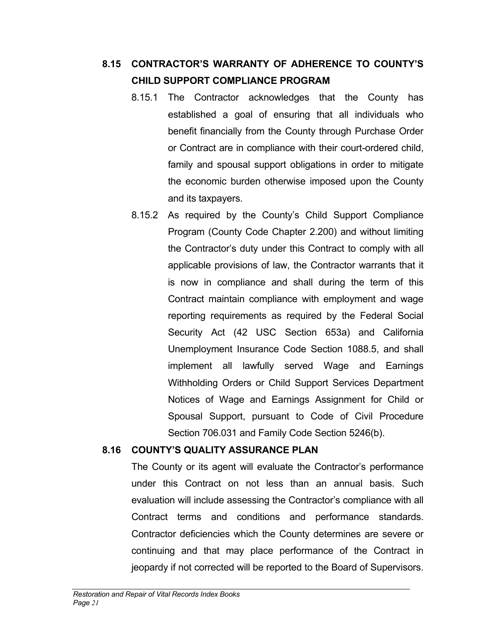# **8.15 CONTRACTOR'S WARRANTY OF ADHERENCE TO COUNTY'S CHILD SUPPORT COMPLIANCE PROGRAM**

- 8.15.1 The Contractor acknowledges that the County has established a goal of ensuring that all individuals who benefit financially from the County through Purchase Order or Contract are in compliance with their court-ordered child, family and spousal support obligations in order to mitigate the economic burden otherwise imposed upon the County and its taxpayers.
- 8.15.2 As required by the County's Child Support Compliance Program (County Code Chapter 2.200) and without limiting the Contractor's duty under this Contract to comply with all applicable provisions of law, the Contractor warrants that it is now in compliance and shall during the term of this Contract maintain compliance with employment and wage reporting requirements as required by the Federal Social Security Act (42 USC Section 653a) and California Unemployment Insurance Code Section 1088.5, and shall implement all lawfully served Wage and Earnings Withholding Orders or Child Support Services Department Notices of Wage and Earnings Assignment for Child or Spousal Support, pursuant to Code of Civil Procedure Section 706.031 and Family Code Section 5246(b).

### **8.16 COUNTY'S QUALITY ASSURANCE PLAN**

The County or its agent will evaluate the Contractor's performance under this Contract on not less than an annual basis. Such evaluation will include assessing the Contractor's compliance with all Contract terms and conditions and performance standards. Contractor deficiencies which the County determines are severe or continuing and that may place performance of the Contract in jeopardy if not corrected will be reported to the Board of Supervisors.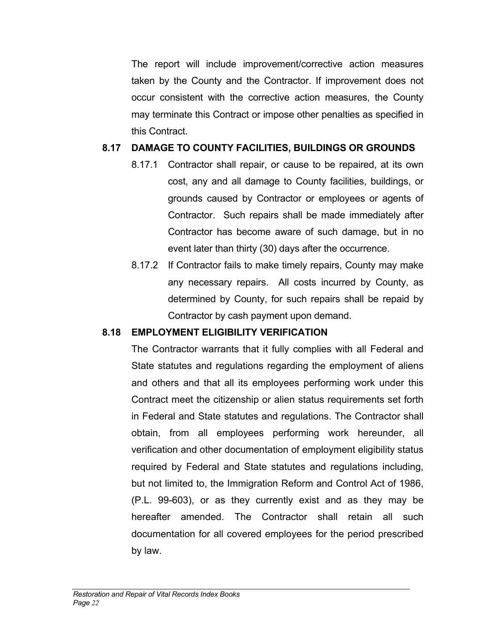The report will include improvement/corrective action measures taken by the County and the Contractor. If improvement does not occur consistent with the corrective action measures, the County may terminate this Contract or impose other penalties as specified in this Contract.

### **8.17 DAMAGE TO COUNTY FACILITIES, BUILDINGS OR GROUNDS**

- 8.17.1 Contractor shall repair, or cause to be repaired, at its own cost, any and all damage to County facilities, buildings, or grounds caused by Contractor or employees or agents of Contractor. Such repairs shall be made immediately after Contractor has become aware of such damage, but in no event later than thirty (30) days after the occurrence.
- 8.17.2 If Contractor fails to make timely repairs, County may make any necessary repairs. All costs incurred by County, as determined by County, for such repairs shall be repaid by Contractor by cash payment upon demand.

### **8.18 EMPLOYMENT ELIGIBILITY VERIFICATION**

The Contractor warrants that it fully complies with all Federal and State statutes and regulations regarding the employment of aliens and others and that all its employees performing work under this Contract meet the citizenship or alien status requirements set forth in Federal and State statutes and regulations. The Contractor shall obtain, from all employees performing work hereunder, all verification and other documentation of employment eligibility status required by Federal and State statutes and regulations including, but not limited to, the Immigration Reform and Control Act of 1986, (P.L. 99-603), or as they currently exist and as they may be hereafter amended. The Contractor shall retain all such documentation for all covered employees for the period prescribed by law.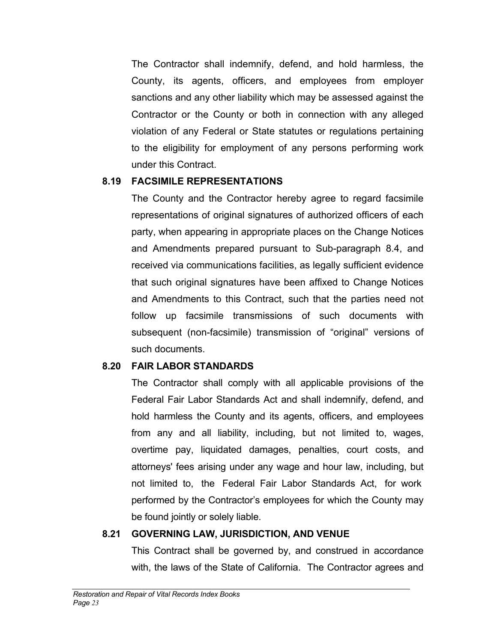The Contractor shall indemnify, defend, and hold harmless, the County, its agents, officers, and employees from employer sanctions and any other liability which may be assessed against the Contractor or the County or both in connection with any alleged violation of any Federal or State statutes or regulations pertaining to the eligibility for employment of any persons performing work under this Contract.

### **8.19 FACSIMILE REPRESENTATIONS**

The County and the Contractor hereby agree to regard facsimile representations of original signatures of authorized officers of each party, when appearing in appropriate places on the Change Notices and Amendments prepared pursuant to Sub-paragraph 8.4, and received via communications facilities, as legally sufficient evidence that such original signatures have been affixed to Change Notices and Amendments to this Contract, such that the parties need not follow up facsimile transmissions of such documents with subsequent (non-facsimile) transmission of "original" versions of such documents.

### **8.20 FAIR LABOR STANDARDS**

The Contractor shall comply with all applicable provisions of the Federal Fair Labor Standards Act and shall indemnify, defend, and hold harmless the County and its agents, officers, and employees from any and all liability, including, but not limited to, wages, overtime pay, liquidated damages, penalties, court costs, and attorneys' fees arising under any wage and hour law, including, but not limited to, the Federal Fair Labor Standards Act, for work performed by the Contractor's employees for which the County may be found jointly or solely liable.

### **8.21 GOVERNING LAW, JURISDICTION, AND VENUE**

This Contract shall be governed by, and construed in accordance with, the laws of the State of California. The Contractor agrees and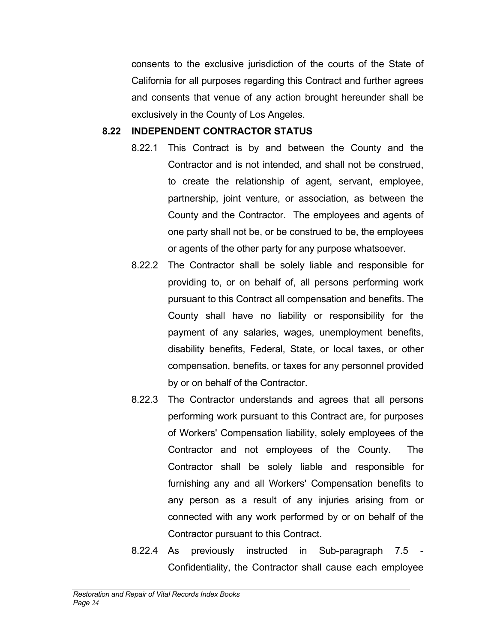consents to the exclusive jurisdiction of the courts of the State of California for all purposes regarding this Contract and further agrees and consents that venue of any action brought hereunder shall be exclusively in the County of Los Angeles.

### **8.22 INDEPENDENT CONTRACTOR STATUS**

- 8.22.1 This Contract is by and between the County and the Contractor and is not intended, and shall not be construed, to create the relationship of agent, servant, employee, partnership, joint venture, or association, as between the County and the Contractor. The employees and agents of one party shall not be, or be construed to be, the employees or agents of the other party for any purpose whatsoever.
- 8.22.2 The Contractor shall be solely liable and responsible for providing to, or on behalf of, all persons performing work pursuant to this Contract all compensation and benefits. The County shall have no liability or responsibility for the payment of any salaries, wages, unemployment benefits, disability benefits, Federal, State, or local taxes, or other compensation, benefits, or taxes for any personnel provided by or on behalf of the Contractor.
- 8.22.3 The Contractor understands and agrees that all persons performing work pursuant to this Contract are, for purposes of Workers' Compensation liability, solely employees of the Contractor and not employees of the County. The Contractor shall be solely liable and responsible for furnishing any and all Workers' Compensation benefits to any person as a result of any injuries arising from or connected with any work performed by or on behalf of the Contractor pursuant to this Contract.
- 8.22.4 As previously instructed in Sub-paragraph 7.5 Confidentiality, the Contractor shall cause each employee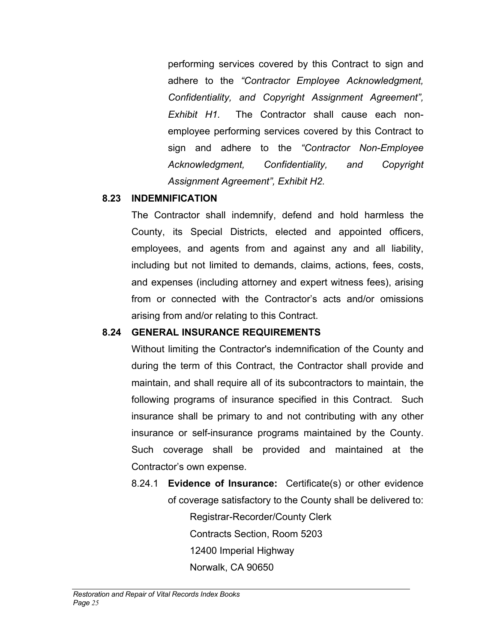performing services covered by this Contract to sign and adhere to the *"Contractor Employee Acknowledgment, Confidentiality, and Copyright Assignment Agreement", Exhibit H1.* The Contractor shall cause each nonemployee performing services covered by this Contract to sign and adhere to the *"Contractor Non-Employee Acknowledgment, Confidentiality, and Copyright Assignment Agreement", Exhibit H2.*

### **8.23 INDEMNIFICATION**

The Contractor shall indemnify, defend and hold harmless the County, its Special Districts, elected and appointed officers, employees, and agents from and against any and all liability, including but not limited to demands, claims, actions, fees, costs, and expenses (including attorney and expert witness fees), arising from or connected with the Contractor's acts and/or omissions arising from and/or relating to this Contract.

### **8.24 GENERAL INSURANCE REQUIREMENTS**

Without limiting the Contractor's indemnification of the County and during the term of this Contract, the Contractor shall provide and maintain, and shall require all of its subcontractors to maintain, the following programs of insurance specified in this Contract. Such insurance shall be primary to and not contributing with any other insurance or self-insurance programs maintained by the County. Such coverage shall be provided and maintained at the Contractor's own expense.

8.24.1 **Evidence of Insurance:** Certificate(s) or other evidence of coverage satisfactory to the County shall be delivered to: Registrar-Recorder/County Clerk Contracts Section, Room 5203 12400 Imperial Highway Norwalk, CA 90650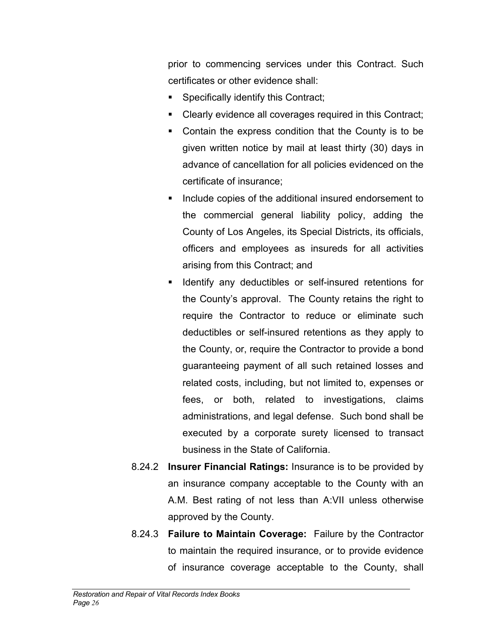prior to commencing services under this Contract. Such certificates or other evidence shall:

- Specifically identify this Contract;
- Clearly evidence all coverages required in this Contract;
- Contain the express condition that the County is to be given written notice by mail at least thirty (30) days in advance of cancellation for all policies evidenced on the certificate of insurance;
- **Include copies of the additional insured endorsement to** the commercial general liability policy, adding the County of Los Angeles, its Special Districts, its officials, officers and employees as insureds for all activities arising from this Contract; and
- **I** Identify any deductibles or self-insured retentions for the County's approval. The County retains the right to require the Contractor to reduce or eliminate such deductibles or self-insured retentions as they apply to the County, or, require the Contractor to provide a bond guaranteeing payment of all such retained losses and related costs, including, but not limited to, expenses or fees, or both, related to investigations, claims administrations, and legal defense. Such bond shall be executed by a corporate surety licensed to transact business in the State of California.
- 8.24.2 **Insurer Financial Ratings:** Insurance is to be provided by an insurance company acceptable to the County with an A.M. Best rating of not less than A:VII unless otherwise approved by the County.
- 8.24.3 **Failure to Maintain Coverage:** Failure by the Contractor to maintain the required insurance, or to provide evidence of insurance coverage acceptable to the County, shall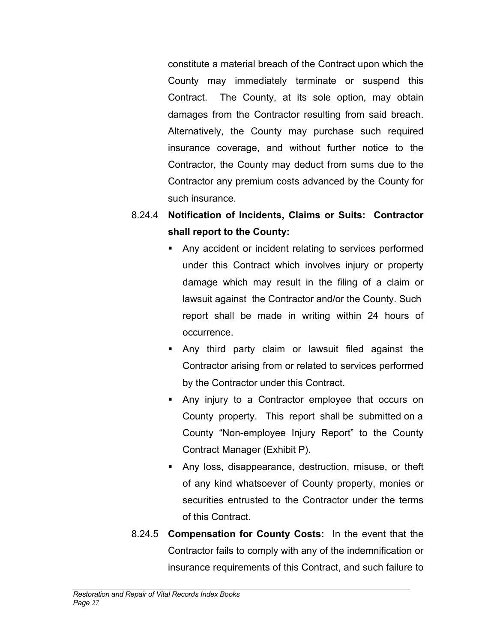constitute a material breach of the Contract upon which the County may immediately terminate or suspend this Contract. The County, at its sole option, may obtain damages from the Contractor resulting from said breach. Alternatively, the County may purchase such required insurance coverage, and without further notice to the Contractor, the County may deduct from sums due to the Contractor any premium costs advanced by the County for such insurance.

- 8.24.4 **Notification of Incidents, Claims or Suits: Contractor shall report to the County:**
	- Any accident or incident relating to services performed under this Contract which involves injury or property damage which may result in the filing of a claim or lawsuit against the Contractor and/or the County. Such report shall be made in writing within 24 hours of occurrence.
	- Any third party claim or lawsuit filed against the Contractor arising from or related to services performed by the Contractor under this Contract.
	- Any injury to a Contractor employee that occurs on County property. This report shall be submitted on a County "Non-employee Injury Report" to the County Contract Manager (Exhibit P).
	- Any loss, disappearance, destruction, misuse, or theft of any kind whatsoever of County property, monies or securities entrusted to the Contractor under the terms of this Contract.
- 8.24.5 **Compensation for County Costs:** In the event that the Contractor fails to comply with any of the indemnification or insurance requirements of this Contract, and such failure to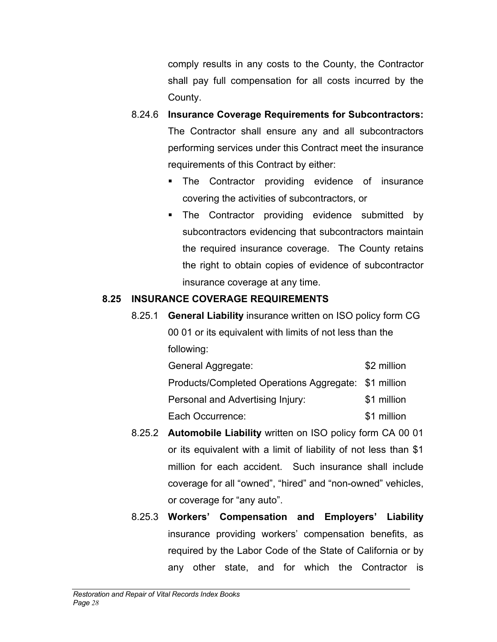comply results in any costs to the County, the Contractor shall pay full compensation for all costs incurred by the County.

- 8.24.6 **Insurance Coverage Requirements for Subcontractors:** The Contractor shall ensure any and all subcontractors performing services under this Contract meet the insurance requirements of this Contract by either:
	- **The Contractor providing evidence of insurance** covering the activities of subcontractors, or
	- **The Contractor providing evidence submitted by** subcontractors evidencing that subcontractors maintain the required insurance coverage. The County retains the right to obtain copies of evidence of subcontractor insurance coverage at any time.

### **8.25 INSURANCE COVERAGE REQUIREMENTS**

8.25.1 **General Liability** insurance written on ISO policy form CG 00 01 or its equivalent with limits of not less than the following:

| General Aggregate:                                   | \$2 million |
|------------------------------------------------------|-------------|
| Products/Completed Operations Aggregate: \$1 million |             |
| Personal and Advertising Injury:                     | \$1 million |
| Each Occurrence:                                     | \$1 million |

- 8.25.2 **Automobile Liability** written on ISO policy form CA 00 01 or its equivalent with a limit of liability of not less than \$1 million for each accident. Such insurance shall include coverage for all "owned", "hired" and "non-owned" vehicles, or coverage for "any auto".
- 8.25.3 **Workers' Compensation and Employers' Liability** insurance providing workers' compensation benefits, as required by the Labor Code of the State of California or by any other state, and for which the Contractor is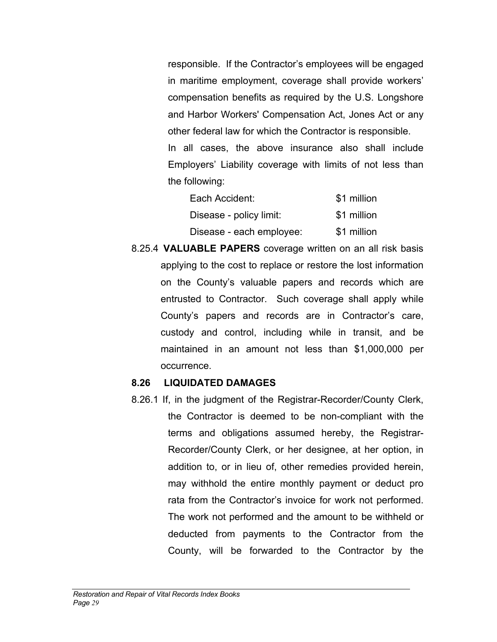responsible. If the Contractor's employees will be engaged in maritime employment, coverage shall provide workers' compensation benefits as required by the U.S. Longshore and Harbor Workers' Compensation Act, Jones Act or any other federal law for which the Contractor is responsible. In all cases, the above insurance also shall include Employers' Liability coverage with limits of not less than the following:

| Each Accident:           | \$1 million |
|--------------------------|-------------|
| Disease - policy limit:  | \$1 million |
| Disease - each employee: | \$1 million |

8.25.4 **VALUABLE PAPERS** coverage written on an all risk basis applying to the cost to replace or restore the lost information on the County's valuable papers and records which are entrusted to Contractor. Such coverage shall apply while County's papers and records are in Contractor's care, custody and control, including while in transit, and be maintained in an amount not less than \$1,000,000 per occurrence.

#### **8.26 LIQUIDATED DAMAGES**

8.26.1 If, in the judgment of the Registrar-Recorder/County Clerk, the Contractor is deemed to be non-compliant with the terms and obligations assumed hereby, the Registrar-Recorder/County Clerk, or her designee, at her option, in addition to, or in lieu of, other remedies provided herein, may withhold the entire monthly payment or deduct pro rata from the Contractor's invoice for work not performed. The work not performed and the amount to be withheld or deducted from payments to the Contractor from the County, will be forwarded to the Contractor by the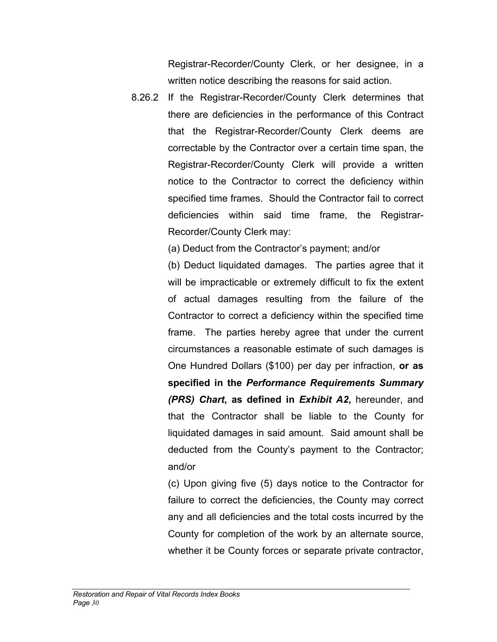Registrar-Recorder/County Clerk, or her designee, in a written notice describing the reasons for said action.

8.26.2 If the Registrar-Recorder/County Clerk determines that there are deficiencies in the performance of this Contract that the Registrar-Recorder/County Clerk deems are correctable by the Contractor over a certain time span, the Registrar-Recorder/County Clerk will provide a written notice to the Contractor to correct the deficiency within specified time frames. Should the Contractor fail to correct deficiencies within said time frame, the Registrar-Recorder/County Clerk may:

(a) Deduct from the Contractor's payment; and/or

(b) Deduct liquidated damages. The parties agree that it will be impracticable or extremely difficult to fix the extent of actual damages resulting from the failure of the Contractor to correct a deficiency within the specified time frame. The parties hereby agree that under the current circumstances a reasonable estimate of such damages is One Hundred Dollars (\$100) per day per infraction, **or as specified in the** *Performance Requirements Summary (PRS) Chart***, as defined in** *Exhibit A2***,** hereunder, and that the Contractor shall be liable to the County for liquidated damages in said amount. Said amount shall be deducted from the County's payment to the Contractor; and/or

(c) Upon giving five (5) days notice to the Contractor for failure to correct the deficiencies, the County may correct any and all deficiencies and the total costs incurred by the County for completion of the work by an alternate source, whether it be County forces or separate private contractor,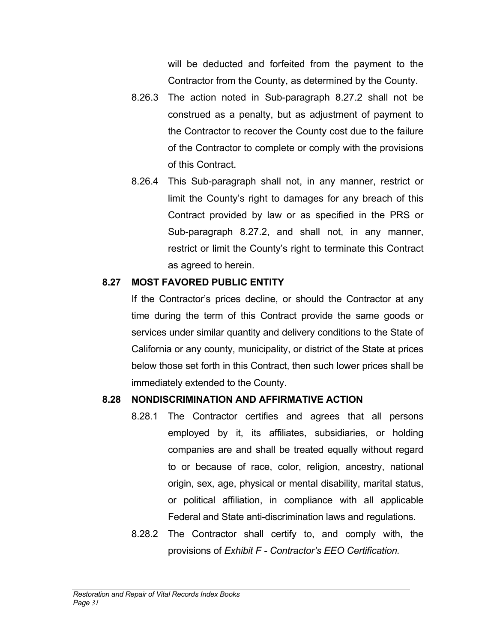will be deducted and forfeited from the payment to the Contractor from the County, as determined by the County.

- 8.26.3 The action noted in Sub-paragraph 8.27.2 shall not be construed as a penalty, but as adjustment of payment to the Contractor to recover the County cost due to the failure of the Contractor to complete or comply with the provisions of this Contract.
- 8.26.4 This Sub-paragraph shall not, in any manner, restrict or limit the County's right to damages for any breach of this Contract provided by law or as specified in the PRS or Sub-paragraph 8.27.2, and shall not, in any manner, restrict or limit the County's right to terminate this Contract as agreed to herein.

### **8.27 MOST FAVORED PUBLIC ENTITY**

If the Contractor's prices decline, or should the Contractor at any time during the term of this Contract provide the same goods or services under similar quantity and delivery conditions to the State of California or any county, municipality, or district of the State at prices below those set forth in this Contract, then such lower prices shall be immediately extended to the County.

### **8.28 NONDISCRIMINATION AND AFFIRMATIVE ACTION**

- 8.28.1 The Contractor certifies and agrees that all persons employed by it, its affiliates, subsidiaries, or holding companies are and shall be treated equally without regard to or because of race, color, religion, ancestry, national origin, sex, age, physical or mental disability, marital status, or political affiliation, in compliance with all applicable Federal and State anti-discrimination laws and regulations.
- 8.28.2 The Contractor shall certify to, and comply with, the provisions of *Exhibit F - Contractor's EEO Certification.*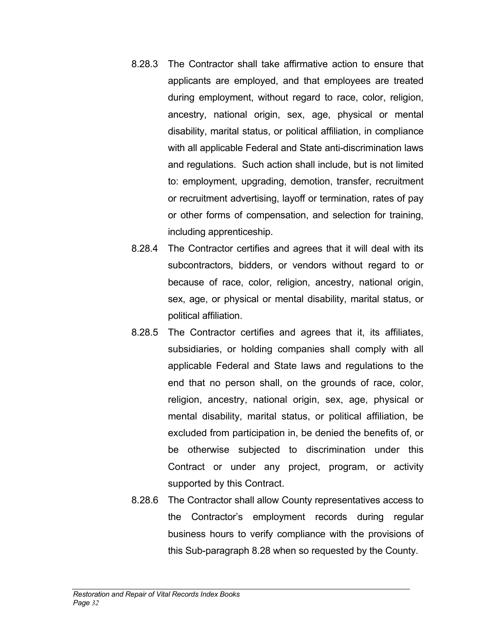- 8.28.3 The Contractor shall take affirmative action to ensure that applicants are employed, and that employees are treated during employment, without regard to race, color, religion, ancestry, national origin, sex, age, physical or mental disability, marital status, or political affiliation, in compliance with all applicable Federal and State anti-discrimination laws and regulations. Such action shall include, but is not limited to: employment, upgrading, demotion, transfer, recruitment or recruitment advertising, layoff or termination, rates of pay or other forms of compensation, and selection for training, including apprenticeship.
- 8.28.4 The Contractor certifies and agrees that it will deal with its subcontractors, bidders, or vendors without regard to or because of race, color, religion, ancestry, national origin, sex, age, or physical or mental disability, marital status, or political affiliation.
- 8.28.5 The Contractor certifies and agrees that it, its affiliates, subsidiaries, or holding companies shall comply with all applicable Federal and State laws and regulations to the end that no person shall, on the grounds of race, color, religion, ancestry, national origin, sex, age, physical or mental disability, marital status, or political affiliation, be excluded from participation in, be denied the benefits of, or be otherwise subjected to discrimination under this Contract or under any project, program, or activity supported by this Contract.
- 8.28.6 The Contractor shall allow County representatives access to the Contractor's employment records during regular business hours to verify compliance with the provisions of this Sub-paragraph 8.28 when so requested by the County.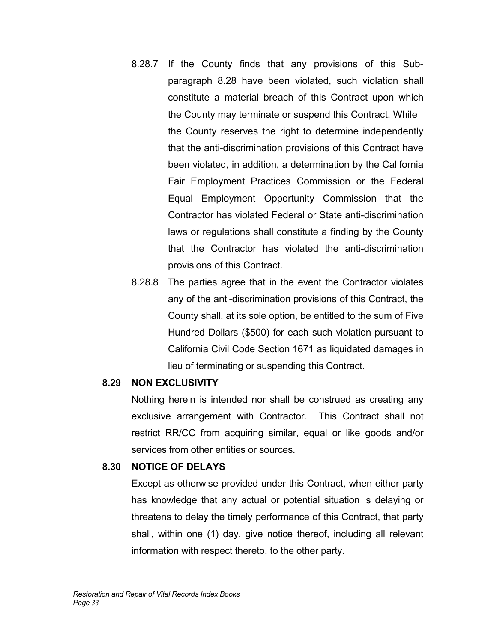- 8.28.7 If the County finds that any provisions of this Subparagraph 8.28 have been violated, such violation shall constitute a material breach of this Contract upon which the County may terminate or suspend this Contract. While the County reserves the right to determine independently that the anti-discrimination provisions of this Contract have been violated, in addition, a determination by the California Fair Employment Practices Commission or the Federal Equal Employment Opportunity Commission that the Contractor has violated Federal or State anti-discrimination laws or regulations shall constitute a finding by the County that the Contractor has violated the anti-discrimination provisions of this Contract.
- 8.28.8 The parties agree that in the event the Contractor violates any of the anti-discrimination provisions of this Contract, the County shall, at its sole option, be entitled to the sum of Five Hundred Dollars (\$500) for each such violation pursuant to California Civil Code Section 1671 as liquidated damages in lieu of terminating or suspending this Contract.

### **8.29 NON EXCLUSIVITY**

Nothing herein is intended nor shall be construed as creating any exclusive arrangement with Contractor. This Contract shall not restrict RR/CC from acquiring similar, equal or like goods and/or services from other entities or sources.

### **8.30 NOTICE OF DELAYS**

Except as otherwise provided under this Contract, when either party has knowledge that any actual or potential situation is delaying or threatens to delay the timely performance of this Contract, that party shall, within one (1) day, give notice thereof, including all relevant information with respect thereto, to the other party.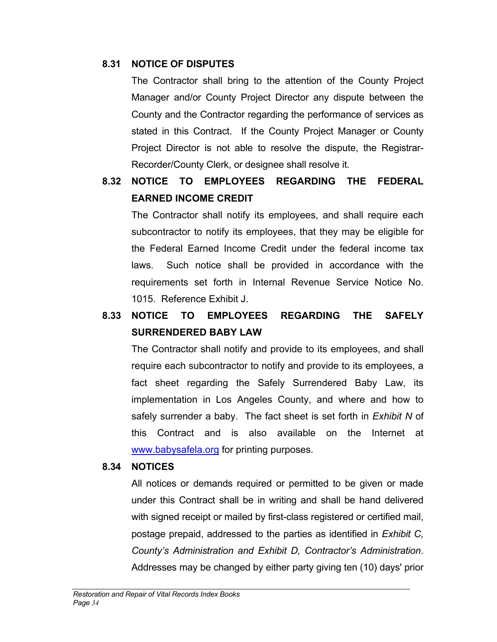### **8.31 NOTICE OF DISPUTES**

 The Contractor shall bring to the attention of the County Project Manager and/or County Project Director any dispute between the County and the Contractor regarding the performance of services as stated in this Contract. If the County Project Manager or County Project Director is not able to resolve the dispute, the Registrar-Recorder/County Clerk, or designee shall resolve it.

# **8.32 NOTICE TO EMPLOYEES REGARDING THE FEDERAL EARNED INCOME CREDIT**

The Contractor shall notify its employees, and shall require each subcontractor to notify its employees, that they may be eligible for the Federal Earned Income Credit under the federal income tax laws. Such notice shall be provided in accordance with the requirements set forth in Internal Revenue Service Notice No. 1015. Reference Exhibit J.

# **8.33 NOTICE TO EMPLOYEES REGARDING THE SAFELY SURRENDERED BABY LAW**

The Contractor shall notify and provide to its employees, and shall require each subcontractor to notify and provide to its employees, a fact sheet regarding the Safely Surrendered Baby Law, its implementation in Los Angeles County, and where and how to safely surrender a baby. The fact sheet is set forth in *Exhibit N* of this Contract and is also available on the Internet at [www.babysafela.org](http://www.babysafela.org/) for printing purposes.

### **8.34 NOTICES**

All notices or demands required or permitted to be given or made under this Contract shall be in writing and shall be hand delivered with signed receipt or mailed by first-class registered or certified mail, postage prepaid, addressed to the parties as identified in *Exhibit C, County's Administration and Exhibit D, Contractor's Administration*. Addresses may be changed by either party giving ten (10) days' prior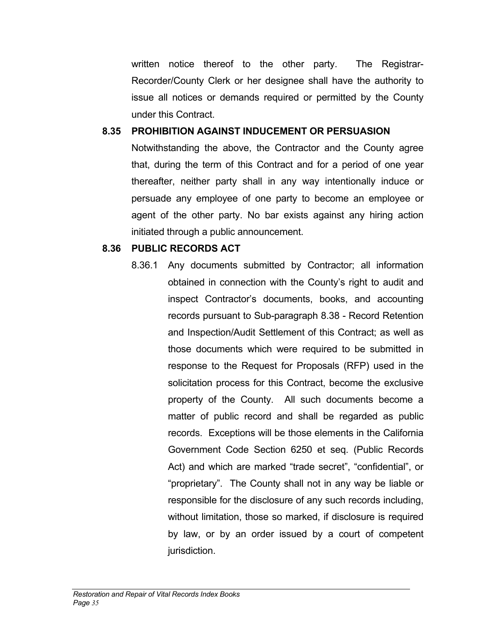written notice thereof to the other party. The Registrar-Recorder/County Clerk or her designee shall have the authority to issue all notices or demands required or permitted by the County under this Contract.

### **8.35 PROHIBITION AGAINST INDUCEMENT OR PERSUASION**

Notwithstanding the above, the Contractor and the County agree that, during the term of this Contract and for a period of one year thereafter, neither party shall in any way intentionally induce or persuade any employee of one party to become an employee or agent of the other party. No bar exists against any hiring action initiated through a public announcement.

### **8.36 PUBLIC RECORDS ACT**

8.36.1 Any documents submitted by Contractor; all information obtained in connection with the County's right to audit and inspect Contractor's documents, books, and accounting records pursuant to Sub-paragraph 8.38 - Record Retention and Inspection/Audit Settlement of this Contract; as well as those documents which were required to be submitted in response to the Request for Proposals (RFP) used in the solicitation process for this Contract, become the exclusive property of the County. All such documents become a matter of public record and shall be regarded as public records. Exceptions will be those elements in the California Government Code Section 6250 et seq. (Public Records Act) and which are marked "trade secret", "confidential", or "proprietary". The County shall not in any way be liable or responsible for the disclosure of any such records including, without limitation, those so marked, if disclosure is required by law, or by an order issued by a court of competent jurisdiction.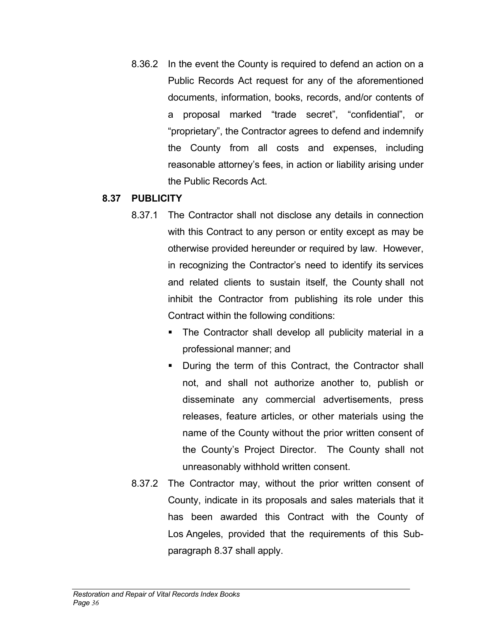8.36.2 In the event the County is required to defend an action on a Public Records Act request for any of the aforementioned documents, information, books, records, and/or contents of a proposal marked "trade secret", "confidential", or "proprietary", the Contractor agrees to defend and indemnify the County from all costs and expenses, including reasonable attorney's fees, in action or liability arising under the Public Records Act.

#### **8.37 PUBLICITY**

- 8.37.1 The Contractor shall not disclose any details in connection with this Contract to any person or entity except as may be otherwise provided hereunder or required by law. However, in recognizing the Contractor's need to identify its services and related clients to sustain itself, the County shall not inhibit the Contractor from publishing its role under this Contract within the following conditions:
	- The Contractor shall develop all publicity material in a professional manner; and
	- During the term of this Contract, the Contractor shall not, and shall not authorize another to, publish or disseminate any commercial advertisements, press releases, feature articles, or other materials using the name of the County without the prior written consent of the County's Project Director. The County shall not unreasonably withhold written consent.
- 8.37.2 The Contractor may, without the prior written consent of County, indicate in its proposals and sales materials that it has been awarded this Contract with the County of Los Angeles, provided that the requirements of this Subparagraph 8.37 shall apply.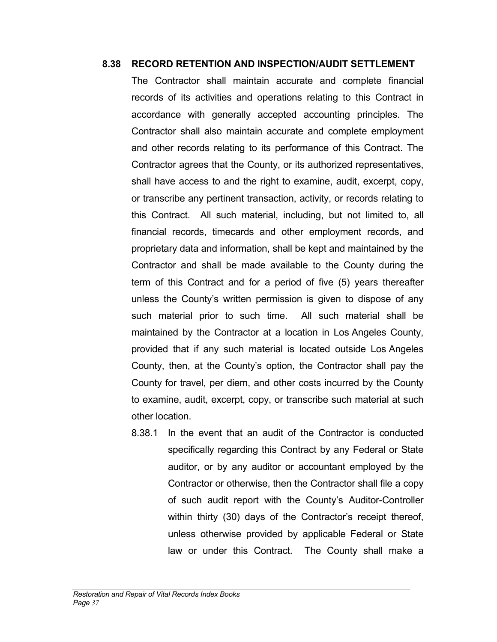#### **8.38 RECORD RETENTION AND INSPECTION/AUDIT SETTLEMENT**

The Contractor shall maintain accurate and complete financial records of its activities and operations relating to this Contract in accordance with generally accepted accounting principles. The Contractor shall also maintain accurate and complete employment and other records relating to its performance of this Contract. The Contractor agrees that the County, or its authorized representatives, shall have access to and the right to examine, audit, excerpt, copy, or transcribe any pertinent transaction, activity, or records relating to this Contract. All such material, including, but not limited to, all financial records, timecards and other employment records, and proprietary data and information, shall be kept and maintained by the Contractor and shall be made available to the County during the term of this Contract and for a period of five (5) years thereafter unless the County's written permission is given to dispose of any such material prior to such time. All such material shall be maintained by the Contractor at a location in Los Angeles County, provided that if any such material is located outside Los Angeles County, then, at the County's option, the Contractor shall pay the County for travel, per diem, and other costs incurred by the County to examine, audit, excerpt, copy, or transcribe such material at such other location.

8.38.1 In the event that an audit of the Contractor is conducted specifically regarding this Contract by any Federal or State auditor, or by any auditor or accountant employed by the Contractor or otherwise, then the Contractor shall file a copy of such audit report with the County's Auditor-Controller within thirty (30) days of the Contractor's receipt thereof, unless otherwise provided by applicable Federal or State law or under this Contract. The County shall make a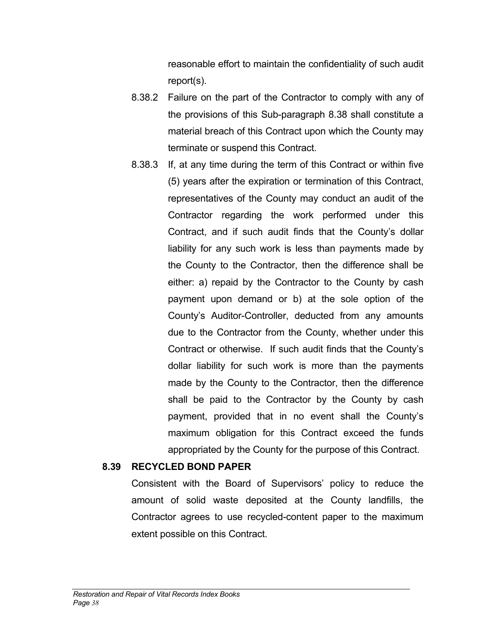reasonable effort to maintain the confidentiality of such audit report(s).

- 8.38.2 Failure on the part of the Contractor to comply with any of the provisions of this Sub-paragraph 8.38 shall constitute a material breach of this Contract upon which the County may terminate or suspend this Contract.
- 8.38.3 If, at any time during the term of this Contract or within five (5) years after the expiration or termination of this Contract, representatives of the County may conduct an audit of the Contractor regarding the work performed under this Contract, and if such audit finds that the County's dollar liability for any such work is less than payments made by the County to the Contractor, then the difference shall be either: a) repaid by the Contractor to the County by cash payment upon demand or b) at the sole option of the County's Auditor-Controller, deducted from any amounts due to the Contractor from the County, whether under this Contract or otherwise. If such audit finds that the County's dollar liability for such work is more than the payments made by the County to the Contractor, then the difference shall be paid to the Contractor by the County by cash payment, provided that in no event shall the County's maximum obligation for this Contract exceed the funds appropriated by the County for the purpose of this Contract.

#### **8.39 RECYCLED BOND PAPER**

Consistent with the Board of Supervisors' policy to reduce the amount of solid waste deposited at the County landfills, the Contractor agrees to use recycled-content paper to the maximum extent possible on this Contract.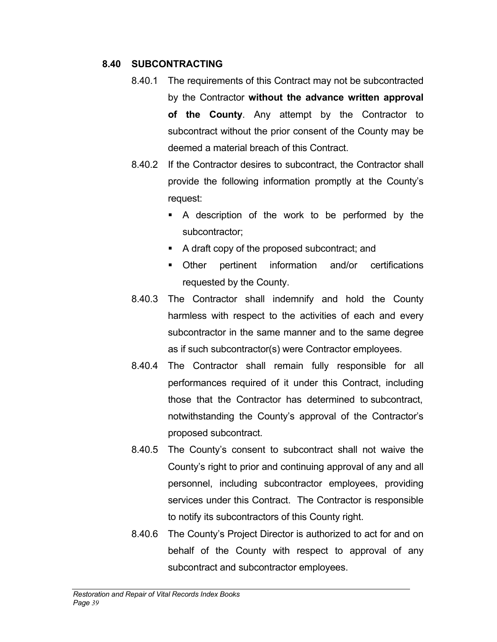### **8.40 SUBCONTRACTING**

- 8.40.1 The requirements of this Contract may not be subcontracted by the Contractor **without the advance written approval of the County**. Any attempt by the Contractor to subcontract without the prior consent of the County may be deemed a material breach of this Contract.
- 8.40.2 If the Contractor desires to subcontract, the Contractor shall provide the following information promptly at the County's request:
	- A description of the work to be performed by the subcontractor;
	- A draft copy of the proposed subcontract; and
	- **Dimetary Construction** and/or certifications requested by the County.
- 8.40.3 The Contractor shall indemnify and hold the County harmless with respect to the activities of each and every subcontractor in the same manner and to the same degree as if such subcontractor(s) were Contractor employees.
- 8.40.4 The Contractor shall remain fully responsible for all performances required of it under this Contract, including those that the Contractor has determined to subcontract, notwithstanding the County's approval of the Contractor's proposed subcontract.
- 8.40.5 The County's consent to subcontract shall not waive the County's right to prior and continuing approval of any and all personnel, including subcontractor employees, providing services under this Contract. The Contractor is responsible to notify its subcontractors of this County right.
- 8.40.6 The County's Project Director is authorized to act for and on behalf of the County with respect to approval of any subcontract and subcontractor employees.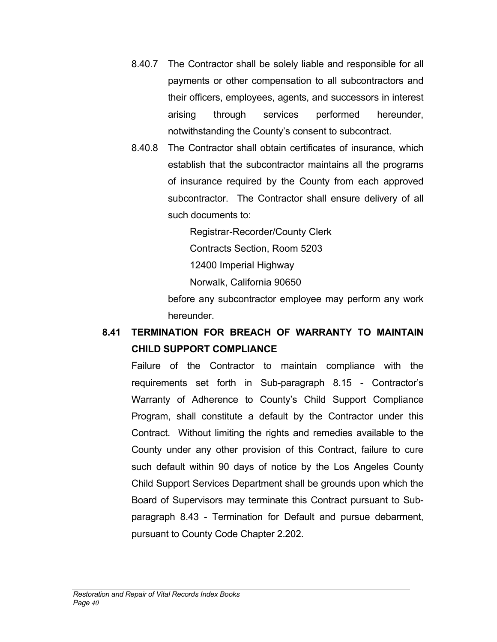- 8.40.7 The Contractor shall be solely liable and responsible for all payments or other compensation to all subcontractors and their officers, employees, agents, and successors in interest arising through services performed hereunder, notwithstanding the County's consent to subcontract.
- 8.40.8 The Contractor shall obtain certificates of insurance, which establish that the subcontractor maintains all the programs of insurance required by the County from each approved subcontractor. The Contractor shall ensure delivery of all such documents to:

Registrar-Recorder/County Clerk

Contracts Section, Room 5203

12400 Imperial Highway

Norwalk, California 90650

before any subcontractor employee may perform any work hereunder.

# **8.41 TERMINATION FOR BREACH OF WARRANTY TO MAINTAIN CHILD SUPPORT COMPLIANCE**

Failure of the Contractor to maintain compliance with the requirements set forth in Sub-paragraph 8.15 - Contractor's Warranty of Adherence to County's Child Support Compliance Program, shall constitute a default by the Contractor under this Contract. Without limiting the rights and remedies available to the County under any other provision of this Contract, failure to cure such default within 90 days of notice by the Los Angeles County Child Support Services Department shall be grounds upon which the Board of Supervisors may terminate this Contract pursuant to Subparagraph 8.43 - Termination for Default and pursue debarment, pursuant to County Code Chapter 2.202.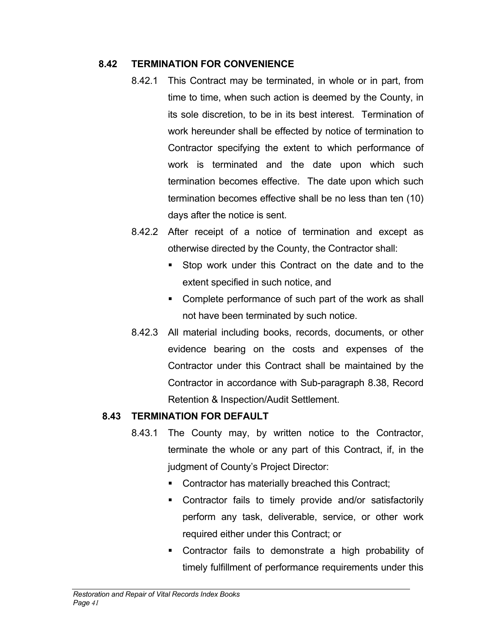### **8.42 TERMINATION FOR CONVENIENCE**

- 8.42.1 This Contract may be terminated, in whole or in part, from time to time, when such action is deemed by the County, in its sole discretion, to be in its best interest. Termination of work hereunder shall be effected by notice of termination to Contractor specifying the extent to which performance of work is terminated and the date upon which such termination becomes effective. The date upon which such termination becomes effective shall be no less than ten (10) days after the notice is sent.
- 8.42.2 After receipt of a notice of termination and except as otherwise directed by the County, the Contractor shall:
	- Stop work under this Contract on the date and to the extent specified in such notice, and
	- Complete performance of such part of the work as shall not have been terminated by such notice.
- 8.42.3 All material including books, records, documents, or other evidence bearing on the costs and expenses of the Contractor under this Contract shall be maintained by the Contractor in accordance with Sub-paragraph 8.38, Record Retention & Inspection/Audit Settlement.

### **8.43 TERMINATION FOR DEFAULT**

- 8.43.1 The County may, by written notice to the Contractor, terminate the whole or any part of this Contract, if, in the judgment of County's Project Director:
	- **Contractor has materially breached this Contract;**
	- **EXECONTACT CONTRACTS CONTRACTS** CONTRACTS CONTRACTS CONTRACTS CONTRACTS CONTRACTS CONTRACTS perform any task, deliverable, service, or other work required either under this Contract; or
	- Contractor fails to demonstrate a high probability of timely fulfillment of performance requirements under this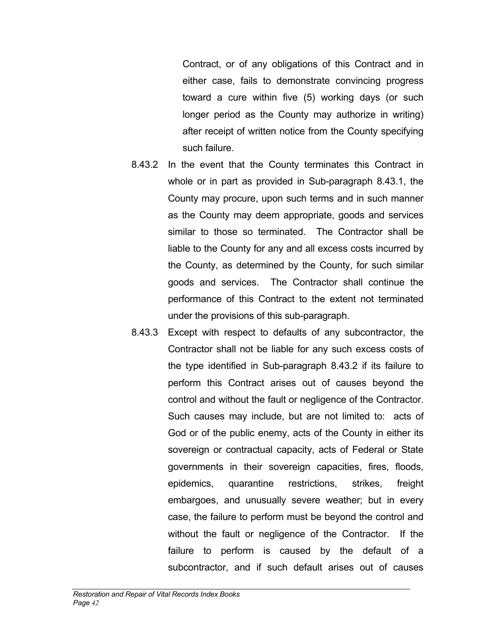Contract, or of any obligations of this Contract and in either case, fails to demonstrate convincing progress toward a cure within five (5) working days (or such longer period as the County may authorize in writing) after receipt of written notice from the County specifying such failure.

- 8.43.2 In the event that the County terminates this Contract in whole or in part as provided in Sub-paragraph 8.43.1, the County may procure, upon such terms and in such manner as the County may deem appropriate, goods and services similar to those so terminated. The Contractor shall be liable to the County for any and all excess costs incurred by the County, as determined by the County, for such similar goods and services. The Contractor shall continue the performance of this Contract to the extent not terminated under the provisions of this sub-paragraph.
- 8.43.3 Except with respect to defaults of any subcontractor, the Contractor shall not be liable for any such excess costs of the type identified in Sub-paragraph 8.43.2 if its failure to perform this Contract arises out of causes beyond the control and without the fault or negligence of the Contractor. Such causes may include, but are not limited to: acts of God or of the public enemy, acts of the County in either its sovereign or contractual capacity, acts of Federal or State governments in their sovereign capacities, fires, floods, epidemics, quarantine restrictions, strikes, freight embargoes, and unusually severe weather; but in every case, the failure to perform must be beyond the control and without the fault or negligence of the Contractor. If the failure to perform is caused by the default of a subcontractor, and if such default arises out of causes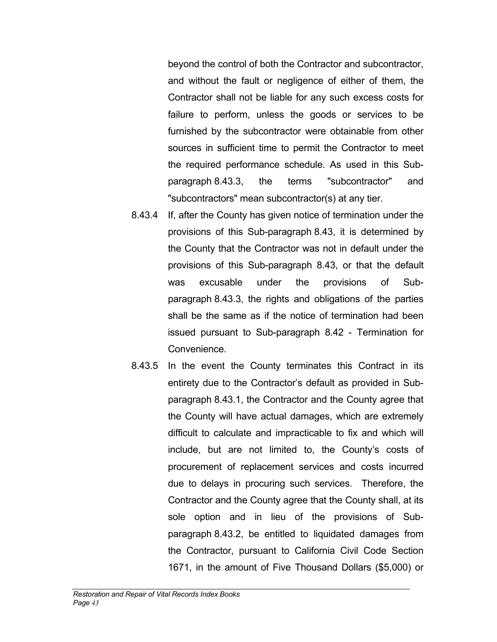beyond the control of both the Contractor and subcontractor, and without the fault or negligence of either of them, the Contractor shall not be liable for any such excess costs for failure to perform, unless the goods or services to be furnished by the subcontractor were obtainable from other sources in sufficient time to permit the Contractor to meet the required performance schedule. As used in this Subparagraph 8.43.3, the terms "subcontractor" and "subcontractors" mean subcontractor(s) at any tier.

- 8.43.4 If, after the County has given notice of termination under the provisions of this Sub-paragraph 8.43, it is determined by the County that the Contractor was not in default under the provisions of this Sub-paragraph 8.43, or that the default was excusable under the provisions of Subparagraph 8.43.3, the rights and obligations of the parties shall be the same as if the notice of termination had been issued pursuant to Sub-paragraph 8.42 - Termination for Convenience.
- 8.43.5 In the event the County terminates this Contract in its entirety due to the Contractor's default as provided in Subparagraph 8.43.1, the Contractor and the County agree that the County will have actual damages, which are extremely difficult to calculate and impracticable to fix and which will include, but are not limited to, the County's costs of procurement of replacement services and costs incurred due to delays in procuring such services. Therefore, the Contractor and the County agree that the County shall, at its sole option and in lieu of the provisions of Subparagraph 8.43.2, be entitled to liquidated damages from the Contractor, pursuant to California Civil Code Section 1671, in the amount of Five Thousand Dollars (\$5,000) or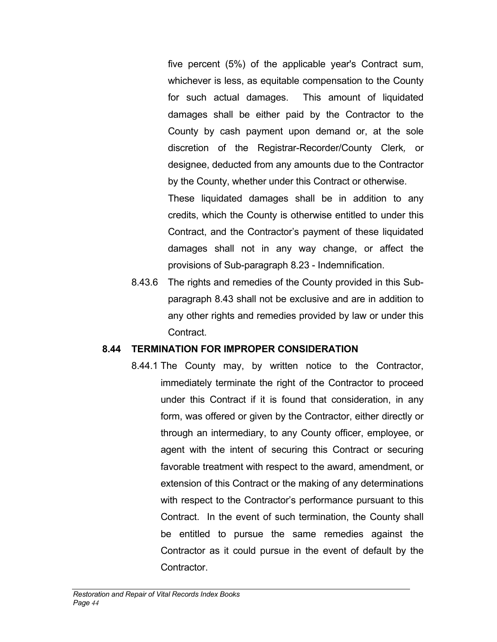five percent (5%) of the applicable year's Contract sum, whichever is less, as equitable compensation to the County for such actual damages. This amount of liquidated damages shall be either paid by the Contractor to the County by cash payment upon demand or, at the sole discretion of the Registrar-Recorder/County Clerk*,* or designee, deducted from any amounts due to the Contractor by the County, whether under this Contract or otherwise.

These liquidated damages shall be in addition to any credits, which the County is otherwise entitled to under this Contract, and the Contractor's payment of these liquidated damages shall not in any way change, or affect the provisions of Sub-paragraph 8.23 - Indemnification.

8.43.6 The rights and remedies of the County provided in this Subparagraph 8.43 shall not be exclusive and are in addition to any other rights and remedies provided by law or under this **Contract** 

#### **8.44 TERMINATION FOR IMPROPER CONSIDERATION**

8.44.1 The County may, by written notice to the Contractor, immediately terminate the right of the Contractor to proceed under this Contract if it is found that consideration, in any form, was offered or given by the Contractor, either directly or through an intermediary, to any County officer, employee, or agent with the intent of securing this Contract or securing favorable treatment with respect to the award, amendment, or extension of this Contract or the making of any determinations with respect to the Contractor's performance pursuant to this Contract. In the event of such termination, the County shall be entitled to pursue the same remedies against the Contractor as it could pursue in the event of default by the Contractor.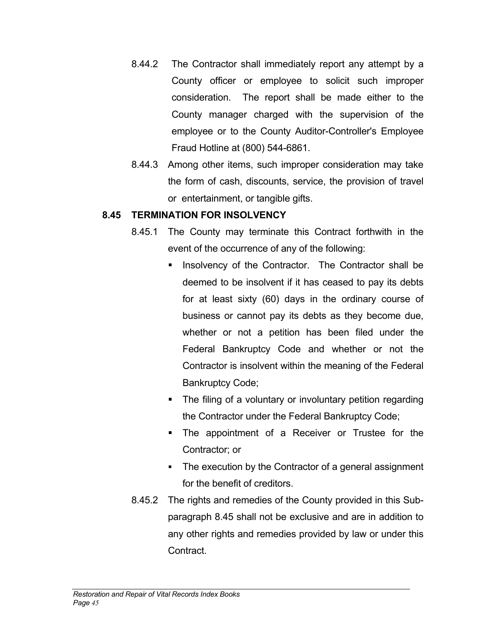- 8.44.2 The Contractor shall immediately report any attempt by a County officer or employee to solicit such improper consideration. The report shall be made either to the County manager charged with the supervision of the employee or to the County Auditor-Controller's Employee Fraud Hotline at (800) 544-6861.
- 8.44.3 Among other items, such improper consideration may take the form of cash, discounts, service, the provision of travel or entertainment, or tangible gifts.

### **8.45 TERMINATION FOR INSOLVENCY**

- 8.45.1 The County may terminate this Contract forthwith in the event of the occurrence of any of the following:
	- **Insolvency of the Contractor. The Contractor shall be** deemed to be insolvent if it has ceased to pay its debts for at least sixty (60) days in the ordinary course of business or cannot pay its debts as they become due, whether or not a petition has been filed under the Federal Bankruptcy Code and whether or not the Contractor is insolvent within the meaning of the Federal Bankruptcy Code;
	- The filing of a voluntary or involuntary petition regarding the Contractor under the Federal Bankruptcy Code;
	- **The appointment of a Receiver or Trustee for the** Contractor; or
	- The execution by the Contractor of a general assignment for the benefit of creditors.
- 8.45.2 The rights and remedies of the County provided in this Subparagraph 8.45 shall not be exclusive and are in addition to any other rights and remedies provided by law or under this Contract.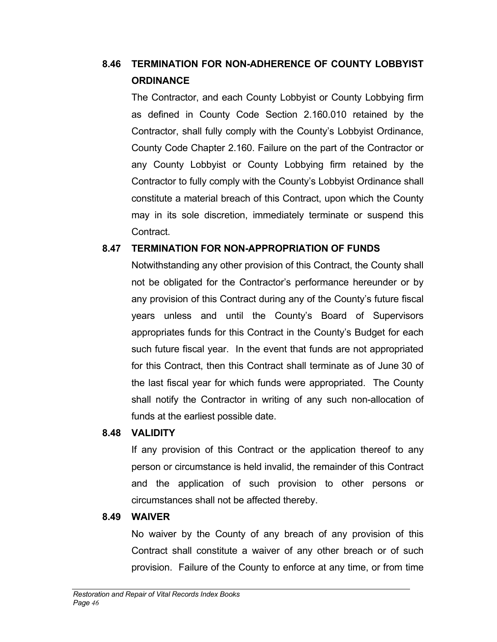# **8.46 TERMINATION FOR NON-ADHERENCE OF COUNTY LOBBYIST ORDINANCE**

The Contractor, and each County Lobbyist or County Lobbying firm as defined in County Code Section 2.160.010 retained by the Contractor, shall fully comply with the County's Lobbyist Ordinance, County Code Chapter 2.160. Failure on the part of the Contractor or any County Lobbyist or County Lobbying firm retained by the Contractor to fully comply with the County's Lobbyist Ordinance shall constitute a material breach of this Contract, upon which the County may in its sole discretion, immediately terminate or suspend this Contract.

### **8.47 TERMINATION FOR NON-APPROPRIATION OF FUNDS**

Notwithstanding any other provision of this Contract, the County shall not be obligated for the Contractor's performance hereunder or by any provision of this Contract during any of the County's future fiscal years unless and until the County's Board of Supervisors appropriates funds for this Contract in the County's Budget for each such future fiscal year. In the event that funds are not appropriated for this Contract, then this Contract shall terminate as of June 30 of the last fiscal year for which funds were appropriated. The County shall notify the Contractor in writing of any such non-allocation of funds at the earliest possible date.

### **8.48 VALIDITY**

If any provision of this Contract or the application thereof to any person or circumstance is held invalid, the remainder of this Contract and the application of such provision to other persons or circumstances shall not be affected thereby.

### **8.49 WAIVER**

No waiver by the County of any breach of any provision of this Contract shall constitute a waiver of any other breach or of such provision. Failure of the County to enforce at any time, or from time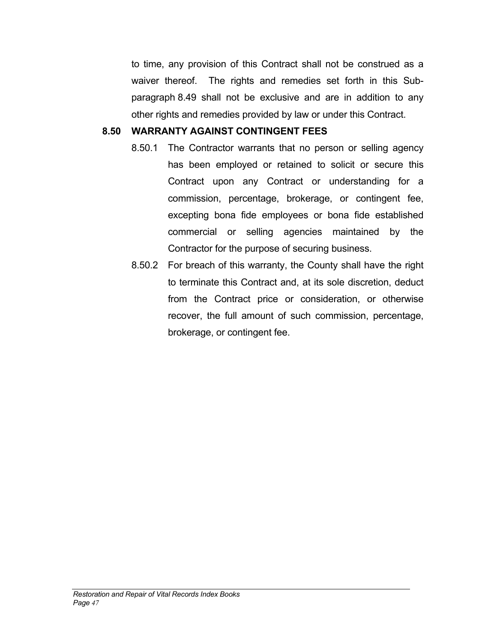to time, any provision of this Contract shall not be construed as a waiver thereof. The rights and remedies set forth in this Subparagraph 8.49 shall not be exclusive and are in addition to any other rights and remedies provided by law or under this Contract.

#### **8.50 WARRANTY AGAINST CONTINGENT FEES**

- 8.50.1 The Contractor warrants that no person or selling agency has been employed or retained to solicit or secure this Contract upon any Contract or understanding for a commission, percentage, brokerage, or contingent fee, excepting bona fide employees or bona fide established commercial or selling agencies maintained by the Contractor for the purpose of securing business.
- 8.50.2 For breach of this warranty, the County shall have the right to terminate this Contract and, at its sole discretion, deduct from the Contract price or consideration, or otherwise recover, the full amount of such commission, percentage, brokerage, or contingent fee.